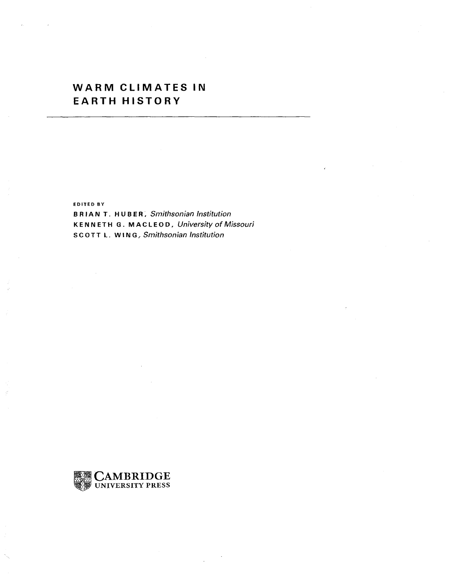# WARM CLIMATES IN EARTH HISTORY

EDITED BY

BRIAN T. HUBER, Smithsonian Institution KENNETH G. MACLEOD, University of Missouri SCOTT L. WING, Smithsonian Institution

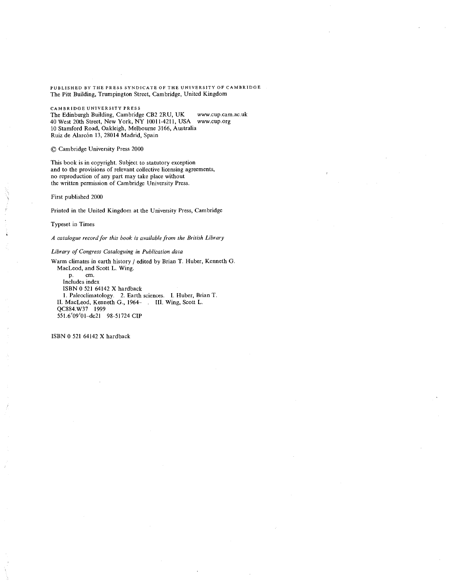PUBLISHED BY THE PRESS SYNDICATE OF THE UNIVERSITY OF CAMBRIDGE The Pitt Building, Trumpington Street, Cambridge, United Kingdom

CAMBRIDGE UNIVERSITY PRESS

The Edinburgh Building, Cambridge CB2 2RU, UK www.cup.cam.ac.uk 40 West 20th Street, New York, NY 10011-4211, USA www.cup.org 10 Stamford Road, Oakleigh, Melbourne 3166, Australia Ruiz de Alarcón 13, 28014 Madrid, Spain

© Cambridge University Press 2000

This book is in copyright. Subject to statutory exception and to the provisions of relevant collective licensing agreements, no reproduction of any part may take place without the written permission of Cambridge University Press.

First published 2000

Printed in the United Kingdom at the University Press, Cambridge

Typeset in Times

*A catalogue recordfor this book is available from the British Library*

## *Library of Congress Cataloguing in Publication data*

Warm climates in earth history / edited by Brian T. Huber, Kenneth G. MacLeod, and Scott L. Wing,

p. cm. Includes index ISBN 0 521 64142 X hardback 1. Paleoclimatology. 2. Earth sciences. I. Huber, Brian T. II. MacLeod, Kenneth G., 1964- . III. Wing, Scott L. QC884.W37 1999 551.6'09'01-dc21 98-51724 CIP

ISBN 0 521 64142 X hardback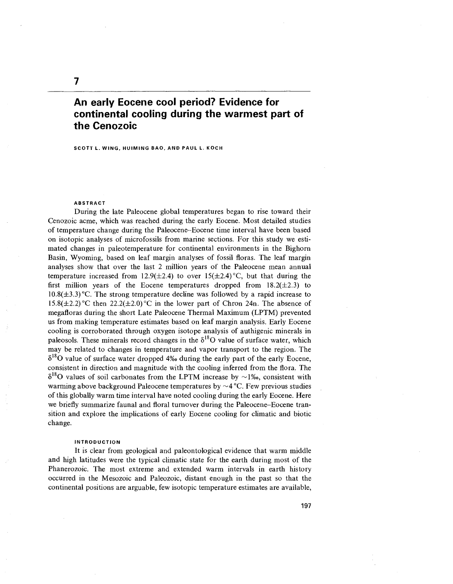## An early Eocene cool period? Evidence for continental cooling during the warmest part of the Cenozoic

SCOTT L. WING, HUIMING BAO, AND PAUL L. KOCH

## ABSTRACT

During the late Paleocene global temperatures began to rise toward their Cenozoic acme, which was reached during the early Eocene. Most detailed studies of temperature change during the Paleocene-Eocene time interval have been based on isotopic analyses of microfossils from marine sections. For this study we estimated changes in paleotemperature for continental environments in the Bighorn Basin, Wyoming, based on leaf margin analyses of fossil floras. The leaf margin analyses show that over the last 2 million years of the Paleocene mean annual temperature increased from 12.9( $\pm$ 2.4) to over 15( $\pm$ 2.4)<sup>o</sup>C, but that during the first million years of the Eocene temperatures dropped from  $18.2(\pm 2.3)$  to  $10.8(\pm 3.3)$  °C. The strong temperature decline was followed by a rapid increase to  $15.8(\pm 2.2)$ °C then  $22.2(\pm 2.0)$ °C in the lower part of Chron 24n. The absence of megafloras during the short Late Paleocene Thermal Maximum (LPTM) prevented us from making temperature estimates based on leaf margin analysis. Early Eocene cooling is corroborated through oxygen isotope analysis of authigenic minerals in paleosols. These minerals record changes in the  $\delta^{18}$ O value of surface water, which may be related to changes in temperature and vapor transport to the region. The  $\delta^{18}$ O value of surface water dropped 4‰ during the early part of the early Eocene, consistent in direction and magnitude with the cooling inferred from the flora. The  $\delta^{18}$ O values of soil carbonates from the LPTM increase by ~1‰, consistent with warming above background Paleocene temperatures by  $\sim$  4 °C. Few previous studies of this globally warm time interval have noted cooling during the early Eocene. Here we briefly summarize faunal and floral turnover during the Paleocene-Eocene transition and explore the implications of early Eocene cooling for climatic and biotic change.

#### INTRODUCTION

It is clear from geological and paleontological evidence that warm middle and high latitudes were the typical climatic state for the earth during most of the Phanerozoic. The most extreme and extended warm intervals in earth history occurred in the Mesozoic and Paleozoic, distant enough in the past so that the continental positions are arguable, few isotopic temperature estimates are available,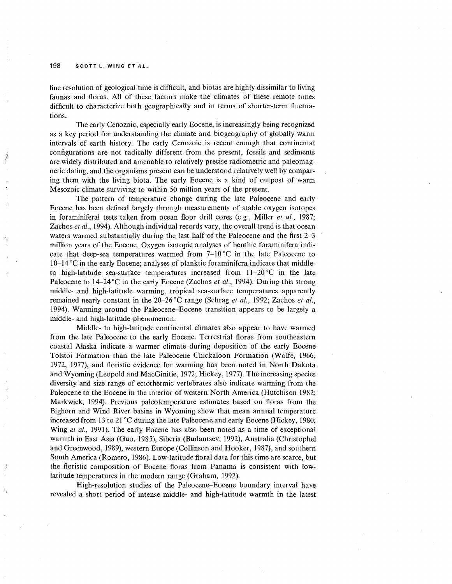fine resolution of geological time is difficult, and biotas are highly dissimilar to living faunas and floras. All of these factors make the climates of these remote times difficult to characterize both geographically and in terms of shorter-term fluctuations.

The early Cenozoic, especially early Eocene, is increasingly being recognized as a key period for understanding the climate and biogeography of globally warm intervals of earth history. The early Cenozoic is recent enough that continental configurations are not radically different from the present, fossils and sediments are widely distributed and amenable to relatively precise radiometric and paleomagnetic dating, and the organisms present can be understood relatively well by comparing them with the living biota. The early Eocene is a kind of outpost of warm Mesozoic climate surviving to within 50 million years of the present.

The pattern of temperature change during the late Paleocene and early Eocene has been defined largely through measurements of stable oxygen isotopes in foraminiferal tests taken from ocean floor drill cores (e.g., Miller *et ai,* 1987; Zachos *et al,* 1994). Although individual records vary, the overall trend is that ocean waters warmed substantially during the last half of the Paleocene and the first 2-3 million years of the Eocene. Oxygen isotopic analyses of benthic foraminifera indicate that deep-sea temperatures warmed from  $7-10\degree C$  in the late Paleocene to 10—14°C in the early Eocene; analyses of planktic foraminifera indicate that middleto high-latitude sea-surface temperatures increased from  $11-20\degree$ C in the late Paleocene to 14-24 °C in the early Eocene (Zachos *et al.,* 1994). During this strong middle- and high-latitude warming, tropical sea-surface temperatures apparently remained nearly constant in the 20-26 °C range (Schrag *et al.,* 1992; Zachos *et al.,* 1994). Warming around the Paleocene-Eocene transition appears to be largely a middle- and high-latitude phenomenon.

Middle- to high-latitude continental climates also appear to have warmed from the late Paleocene to the early Eocene. Terrestrial floras from southeastern coastal Alaska indicate a warmer climate during deposition of the early Eocene Tolstoi Formation than the late Paleocene Chickaloon Formation (Wolfe, 1966, 1972, 1977), and floristic evidence for warming has been noted in North Dakota and Wyoming (Leopold and MacGinitie, 1972; Hickey, 1977). The increasing species diversity and size range of ectothermic vertebrates also indicate warming from the Paleocene to the Eocene in the interior of western North America (Hutchison 1982; Markwick, 1994). Previous paleotemperature estimates based on floras from the Bighorn and Wind River basins in Wyoming show that mean annual temperature increased from 13 to 21 °C during the late Paleocene and early Eocene (Hickey, 1980; Wing *et al,* 1991). The early Eocene has also been noted as a time of exceptional warmth in East Asia (Guo, 1985), Siberia (Budantsev, 1992), Australia (Christophel and Greenwood, 1989), western Europe (Collinson and Hooker, 1987), and southern South America (Romero, 1986). Low-latitude floral data for this time are scarce, but the floristic composition of Eocene floras from Panama is consistent with lowlatitude temperatures in the modern range (Graham, 1992).

High-resolution studies of the Paleocene-Eocene boundary interval have revealed a short period of intense middle- and high-latitude warmth in the latest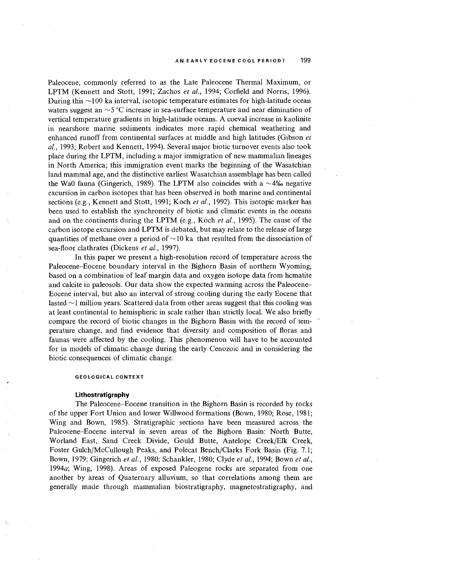Paleocene, commonly referred to as the Late Paleocene Thermal Maximum, or LPTM (Kennett and Stott, 1991; Zachos *et al,* 1994; Corfield and Norris, 1996). During this  $\sim$ 100 ka interval, isotopic temperature estimates for high-latitude ocean waters suggest an  $\sim$  5 °C increase in sea-surface temperature and near elimination of vertical temperature gradients in high-latitude oceans. A coeval increase in kaolinite in nearshore marine sediments indicates more rapid chemical weathering and enhanced runoff from continental surfaces at middle and high latitudes (Gibson *et al.,* 1993; Robert and Kennett, 1994). Several major biotic turnover events also took place during the LPTM, including a major immigration of new mammalian lineages in North America; this immigration event marks the beginning of the Wasatchian land mammal age, and the distinctive earliest Wasatchian assemblage has been called the Wa0 fauna (Gingerich, 1989). The LPTM also coincides with a  $\sim$  4‰ negative excursion in carbon isotopes that has been observed in both marine and continental sections (e.g., Kennett and Stott, 1991; Koch *et al.,* 1992). This isotopic marker has been used to establish the synchroneity of biotic and climatic events in the oceans and on the continents during the LPTM (e.g., Koch *et al.,* 1995). The cause of the carbon isotope excursion and LPTM is debated, but may relate to the release of large quantities of methane over a period of  $\sim$ 10 ka that resulted from the dissociation of sea-floor clathrates (Dickens *et al.,* 1997).

In this paper we present a high-resolution record of temperature across the Paleocene-Eocene boundary interval in the Bighorn Basin of northern Wyoming, based on a combination of leaf margin data and oxygen isotope data from hematite and calcite in paleosols. Our data show the expected warming across the Paleocene-Eocene interval, but also an interval of strong cooling during the early Eocene that lasted  $\sim$  l million years. Scattered data from other areas suggest that this cooling was at least continental to hemispheric in scale rather than strictly local. We also briefly compare the record of biotic changes in the Bighorn Basin with the record of temperature change, and find evidence that diversity and composition of floras and faunas were affected by the cooling. This phenomenon will have to be accounted for in models of climatic change during the early Cenozoic and in considering the biotic consequences of climatic change.

#### GEOLOGICAL CONTEXT

#### Lithostratigraphy

The Paleocene-Eocene transition in the Bighorn Basin is recorded by rocks of the upper Fort Union and lower Willwood formations (Bown, 1980; Rose, 1981; Wing and Bown, 1985). Stratigraphic sections have been measured across the Paleocene-Eocene interval in seven areas of the Bighorn Basin: North Butte, Worland East, Sand Creek Divide, Gould Butte, Antelope Creek/Elk Creek, Foster Gulch/McCullough Peaks, and Polecat Bench/Clarks Fork Basin (Fig. 7.1; Bown, 1979; Gingerich *et al.,* 1980; Schankler, 1980; Clyde *et al.,* 1994; Bown *et al.,* 1994a; Wing, 1998). Areas of exposed Paleogene rocks are separated from one another by areas of Quaternary alluvium, so that correlations among them are generally made through mammalian biostratigraphy, magnetostratigraphy, and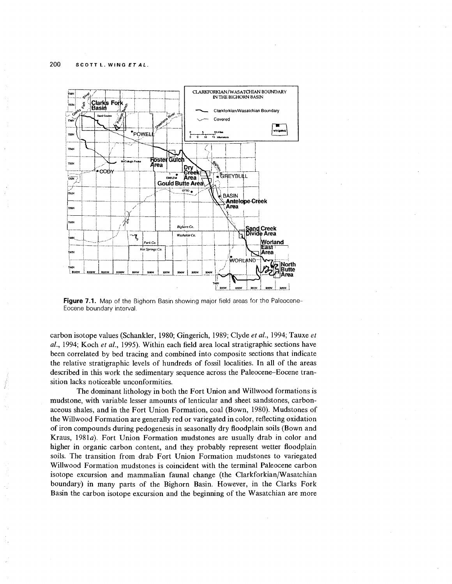

Figure 7.1. Map of the Bighorn Basin showing major field areas for the Paleocene-Eocene boundary interval.

carbon isotope values (Schankler, 1980; Gingerich, 1989; Clyde *et al.,* 1994; Tauxe *et al.,* 1994; Koch *et al.,* 1995). Within each field area local stratigraphic sections have been correlated by bed tracing and combined into composite sections that indicate the relative stratigraphic levels of hundreds of fossil localities. In all of the areas described in this work the sedimentary sequence across the Paleocene-Eocene transition lacks noticeable unconformities.

The dominant lithology in both the Fort Union and Willwood formations is mudstone, with variable lesser amounts of lenticular and sheet sandstones, carbonaceous shales, and in the Fort Union Formation, coal (Bown, 1980). Mudstones of the Willwood Formation are generally red or variegated in color, reflecting oxidation of iron compounds during pedogenesis in seasonally dry floodplain soils (Bown and Kraus, 1981a). Fort Union Formation mudstones are usually drab in color and higher in organic carbon content, and they probably represent wetter floodplain soils. The transition from drab Fort Union Formation mudstones to variegated Willwood Formation mudstones is coincident with the terminal Paleocene carbon isotope excursion and mammalian faunal change (the Clarkforkian/Wasatchian boundary) in many parts of the Bighorn Basin. However, in the Clarks Fork Basin the carbon isotope excursion and the beginning of the Wasatchian are more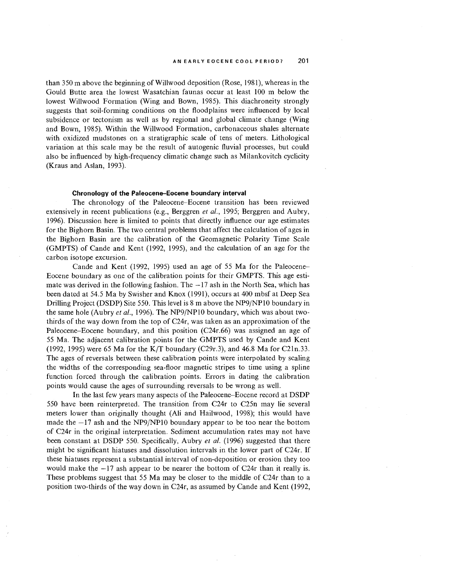than 350 m above the beginning of Willwood deposition (Rose, 1981), whereas in the Gould Butte area the lowest Wasatchian faunas occur at least 100 m below the lowest Willwood Formation (Wing and Bown, 1985). This diachroneity strongly suggests that soil-forming conditions on the floodplains were influenced by local subsidence or tectonism as well as by regional and global climate change (Wing and Bown, 1985). Within the Willwood Formation, carbonaceous shales alternate with oxidized mudstones on a stratigraphic scale of tens of meters. Lithological variation at this scale may be the result of autogenic fluvial processes, but could also be influenced by high-frequency climatic change such as Milankovitch cyclicity (Kraus and Asian, 1993).

#### Chronology of the Paleocene-Eocene boundary interval

The chronology of the Paleocene-Eocene transition has been reviewed extensively in recent publications (e.g., Berggren *et al.,* 1995; Berggren and Aubry, 1996). Discussion here is limited to points that directly influence our age estimates for the Bighorn Basin. The two central problems that affect the calculation of ages in the Bighorn Basin are the calibration of the Geomagnetic Polarity Time Scale (GMPTS) of Cande and Kent (1992, 1995), and the calculation of an age for the carbon isotope excursion.

Cande and Kent (1992, 1995) used an age of 55 Ma for the Paleocene-Eocene boundary as one of the calibration points for their GMPTS. This age estimate was derived in the following fashion. The  $-17$  ash in the North Sea, which has been dated at 54.5 Ma by Swisher and Knox (1991), occurs at 400 mbsf at Deep Sea Drilling Project (DSDP) Site 550. This level is 8 m above the NP9/NP10 boundary in the same hole (Aubry *et al.,* 1996). The NP9/NP10 boundary, which was about twothirds of the way down from the top of C24r, was taken as an approximation of the Paleocene-Eocene boundary, and this position (C24r.66) was assigned an age of 55 Ma. The adjacent calibration points for the GMPTS used by Cande and Kent (1992, 1995) were 65 Ma for the K/T boundary (C29r.3), and 46.8 Ma for C21n.33. The ages of reversals between these calibration points were interpolated by scaling the widths of the corresponding sea-floor magnetic stripes to time using a spline function forced through the calibration points. Errors in dating the calibration points would cause the ages of surrounding reversals to be wrong as well.

In the last few years many aspects of the Paleocene-Eocene record at DSDP 550 have been reinterpreted. The transition from C24r to C25n may lie several meters lower than originally thought (Ali and Hailwood, 1998); this would have made the  $-17$  ash and the NP9/NP10 boundary appear to be too near the bottom of C24r in the original interpretation. Sediment accumulation rates may not have been constant at DSDP 550. Specifically, Aubry *et al.* (1996) suggested that there might be significant hiatuses and dissolution intervals in the lower part of C24r. If these hiatuses represent a substantial interval of non-deposition or erosion they too would make the  $-17$  ash appear to be nearer the bottom of C24r than it really is. These problems suggest that 55 Ma may be closer to the middle of C24r than to a position two-thirds of the way down in C24r, as assumed by Cande and Kent (1992,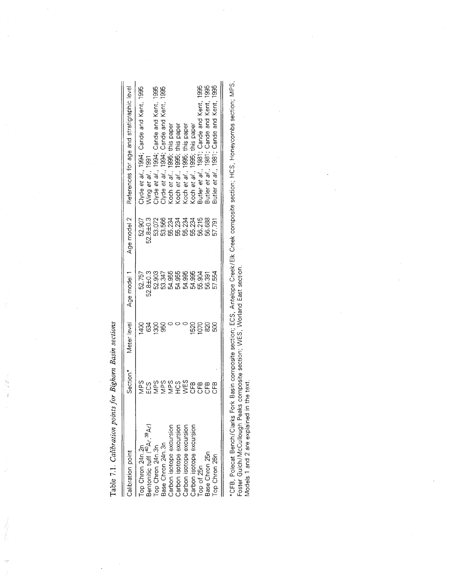| ection.                                                                      |
|------------------------------------------------------------------------------|
| ו מייח א                                                                     |
| $D: -L \sim \cdots$<br>11.21                                                 |
|                                                                              |
|                                                                              |
| $J$ $di$ $bration$ noints tor<br>$\mu$ , $\mu$ , $\mu$<br>$\ddot{\ddot{\ }}$ |
|                                                                              |
| ماہ<br>ماہ                                                                   |

 $\sum_{i=1}^{N} \frac{1}{i} \sum_{j=1}^{N} \frac{1}{j} \sum_{j=1}^{N} \frac{1}{j} \sum_{j=1}^{N} \frac{1}{j} \sum_{j=1}^{N} \frac{1}{j} \sum_{j=1}^{N} \frac{1}{j} \sum_{j=1}^{N} \frac{1}{j} \sum_{j=1}^{N} \frac{1}{j} \sum_{j=1}^{N} \frac{1}{j} \sum_{j=1}^{N} \frac{1}{j} \sum_{j=1}^{N} \frac{1}{j} \sum_{j=1}^{N} \frac{1}{j} \sum_{j=1}^{N} \frac{1}{j$ 

一支有关的

Ÿ

| Calibration point                                                                              | Section <sup>*</sup> | Meter level | Age model 1                     | Age model 2                            | References for age and stratigraphic level                                       |
|------------------------------------------------------------------------------------------------|----------------------|-------------|---------------------------------|----------------------------------------|----------------------------------------------------------------------------------|
| Top Chron 24n.2n                                                                               | MPS                  |             | 52.757                          | 52.907                                 | 1994; Cande and Kent, 1995<br>et al.,<br>Clyde                                   |
|                                                                                                |                      |             | 52.8±0.3                        | 52.8±0.3                               | 5<br>1991<br>et al.,                                                             |
| Bentonitic tuff ( <sup>40</sup> Ar. <sup>39</sup> Ar)<br>Top Chron 24n.3n<br>Base Chron 24n.3n |                      | ទ្ធន្លន្ល   |                                 | 53.072                                 | et al.,                                                                          |
|                                                                                                |                      |             | ದ ಚಿತ್ರ<br>ದಿ ಚಿತ್ರ<br>ದಿ ಚಿತ್ರ |                                        | 1994; Cande and Kent, 1995<br>1994; Cande and Kent, 1995<br>et al.,              |
| Carbon isotope excursion                                                                       |                      |             |                                 |                                        | this paper<br>1995;<br>et al.,                                                   |
| Carbon isotope excursion                                                                       |                      |             | 54.955                          | 66<br>683333335<br>68666666<br>6866666 | this paper<br>1995;<br>et al.,<br>Wing<br>Clyde<br>Clyde<br>Koch<br>Koch<br>Koch |
| Carbon isotope excursion                                                                       |                      |             |                                 |                                        | this paper<br>$1995$ ;<br>et al.,                                                |
| Carbon isotope excursion                                                                       |                      | 1520        | 54.995<br>54.995                |                                        | this paper<br>1995;<br>et al.,<br>Koch                                           |
| Top of 25n                                                                                     |                      | 070         | 904                             |                                        | 1995<br>1981; Cande and Kent, 1<br>Butler et al.,                                |
| Base Chron 25n                                                                                 |                      | 28          | 55.391<br>56.391                | .688<br>56.688<br>57.791               | 1995<br>Butler et al., 1981; Cande and Kent,                                     |
| Top Chron 26n                                                                                  |                      |             | 554                             |                                        | 1995<br>Kent,<br>1981; Cande and<br>Butler et al.,                               |
| $\ddot{\cdot}$                                                                                 |                      | י<br>נ      | $\frac{1}{2}$                   |                                        | $\ddot{\phantom{0}}$<br>$rac{1}{2}$                                              |

CO Q\_ E o o H<sub>one</sub> o o Q. E o o ŏ elope Cr<br>:ast sect ុ<br>ស្រុក<br>ស្រុក ection; ECS,<br>WES, Worla ت<br>CD co in compos<br>posite sect<br>»xt. ork Bas<br>ks com<br>in the t o *sz* • o <u>ሮ</u> "Q. X CD Polecat Be<br>Gulch/Mc<br>3 1 and 2 a \* CFB<br>Fostel<br>Mode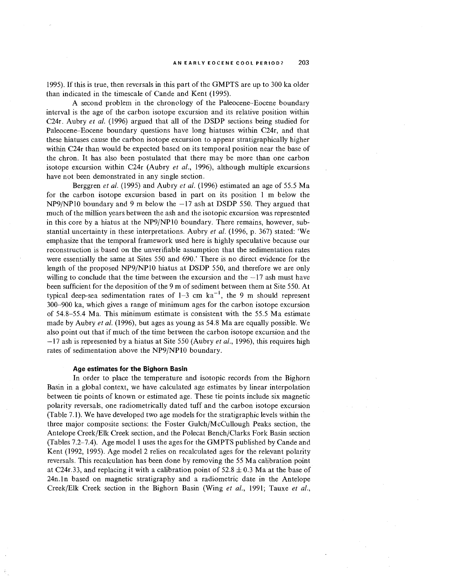1995). If this is true, then reversals in this part of the GMPTS are up to 300 ka older than indicated in the timescale of Cande and Kent (1995).

A second problem in the chronology of the Paleocene-Eocene boundary interval is the age of the carbon isotope excursion and its relative position within C24r. Aubry *et al.* (1996) argued that all of the DSDP sections being studied for Paleocene-Eocene boundary questions have long hiatuses within C24r, and that these hiatuses cause the carbon isotope excursion to appear stratigraphically higher within C24r than would be expected based on its temporal position near the base of the chron. It has also been postulated that there may be more than one carbon isotope excursion within C24r (Aubry *et al.,* 1996), although multiple excursions have not been demonstrated in any single section.

Berggren *et al.* (1995) and Aubry *et al.* (1996) estimated an age of 55.5 Ma for the carbon isotope excursion based in part on its position <sup>1</sup> m below the NP9/NP10 boundary and 9 m below the -17 ash at DSDP 550. They argued that much of the million years between the ash and the isotopic excursion was represented in this core by a hiatus at the NP9/NP10 boundary. There remains, however, substantial uncertainty in these interpretations. Aubry *et al.* (1996, p. 367) stated: 'We emphasize that the temporal framework used here is highly speculative because our reconstruction is based on the unverifiable assumption that the sedimentation rates were essentially the same at Sites 550 and 690.' There is no direct evidence for the length of the proposed NP9/NP10 hiatus at DSDP 550, and therefore we are only willing to conclude that the time between the excursion and the  $-17$  ash must have been sufficient for the deposition of the 9 m of sediment between them at Site 550. At typical deep-sea sedimentation rates of  $1-3$  cm  $ka^{-1}$ , the 9 m should represent 300-900 ka, which gives a range of minimum ages for the carbon isotope excursion of 54.8-55.4 Ma. This minimum estimate is consistent with the 55.5 Ma estimate made by Aubry *et al.* (1996), but ages as young as 54.8 Ma are equally possible. We also point out that if much of the time between the carbon isotope excursion and the — 17 ash is represented by a hiatus at Site 550 (Aubry *et al.,* 1996), this requires high rates of sedimentation above the NP9/NP10 boundary.

## Age estimates for the Bighorn Basin

In order to place the temperature and isotopic records from the Bighorn Basin in a global context, we have calculated age estimates by linear interpolation between tie points of known or estimated age. These tie points include six magnetic polarity reversals, one radiometrically dated tuff and the carbon isotope excursion (Table 7.1). We have developed two age models for the stratigraphic levels within the three major composite sections: the Foster Gulch/McCullough Peaks section, the Antelope Creek/Elk Creek section, and the Polecat Bench/Clarks Fork Basin section (Tables 7.2-7.4). Age model <sup>1</sup> uses the ages for the GMPTS published by Cande and Kent (1992, 1995). Age model 2 relies on recalculated ages for the relevant polarity reversals. This recalculation has been done by removing the 55 Ma calibration point at C24r.33, and replacing it with a calibration point of  $52.8 \pm 0.3$  Ma at the base of 24n.ln based on magnetic stratigraphy and a radiometric date in the Antelope Creek/Elk Creek section in the Bighorn Basin (Wing *et al.,* 1991; Tauxe *et al,*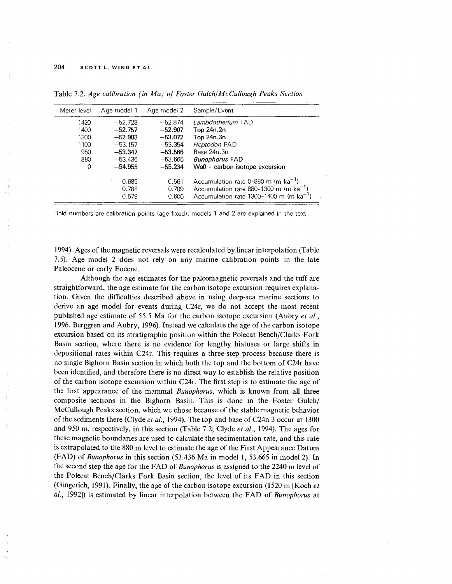| Meter level | Age model 1 | Age model 2 | Sample/Event                                   |
|-------------|-------------|-------------|------------------------------------------------|
| 1420        | $-52.728$   | $-52.874$   | <i>Lambdotherium</i> FAD                       |
| 1400        | $-52.757$   | $-52.907$   | Top 24n.2n                                     |
| 1300        | $-52.903$   | $-53.072$   | Top 24n.3n                                     |
| 1100        | $-53.157$   | $-53.354$   | Heptodon FAD                                   |
| 950         | $-53.347$   | $-53.566$   | Base 24n.3n                                    |
| 880         | $-53.436$   | $-53.665$   | <b>Bunophorus FAD</b>                          |
| 0           | $-54.955$   | $-55.234$   | Wa0 - carbon isotope excursion                 |
|             | 0.685       | 0.561       | Accumulation rate $0-880$ m (m $ka^{-1}$ )     |
|             | 0.788       | 0.709       | Accumulation rate $880-1300$ m (m $ka^{-1}$ )  |
|             | 0.579       | 0.606       | Accumulation rate $1300-1400$ m (m $ka^{-1}$ ) |

Table 7.2. *Age calibration (in Ma) ofFoster GulchjMcCullough Peaks Section*

Bold numbers are calibration points (age fixed); models <sup>1</sup> and 2 are explained in the text.

1994). Ages of the magnetic reversals were recalculated by linear interpolation (Table 7.5). Age model 2 does not rely on any marine calibration points in the late Paleocene or early Eocene.

Although the age estimates for the paleomagnetic reversals and the tuff are straightforward, the age estimate for the carbon isotope excursion requires explanation. Given the difficulties described above in using deep-sea marine sections to derive an age model for events during C24r, we do not accept the most recent published age estimate of 55.5 Ma for the carbon isotope excursion (Aubry *et al.,* 1996, Berggren and Aubry, 1996). Instead we calculate the age of the carbon isotope excursion based on its stratigraphic position within the Polecat Bench/Clarks Fork Basin section, where there is no evidence for lengthy hiatuses or large shifts in depositional rates within C24r. This requires a three-step process because there is no single Bighorn Basin section in which both the top and the bottom of C24r have been identified, and therefore there is no direct way to establish the relative position of the carbon isotope excursion within C24r. The first step is to estimate the age of the first appearance of the mammal *Bunophorus,* which is known from all three composite sections in the Bighorn Basin. This is done in the Foster Gulch/ McCullough Peaks section, which we chose because of the stable magnetic behavior of the sediments there (Clyde *et al.*, 1994). The top and base of C24n.3 occur at 1300 and 950 m, respectively, in this section (Table 7.2; Clyde *et al.,* 1994). The ages for these magnetic boundaries are used to calculate the sedimentation rate, and this rate is extrapolated to the 880 m level to estimate the age of the First Appearance Datum (FAD) *of Bunophorus* in this section (53.436 Ma in model 1, 53.665 in model 2). In the second step the age for the FAD of *Bunophorus* is assigned to the 2240 m level of the Polecat Bench/Clarks Fork Basin section, the level of its FAD in this section (Gingerich, 1991). Finally, the age of the carbon isotope excursion (1520 m [Koch *et al.,* 1992]) is estimated by linear interpolation between the FAD of *Bunophorus* at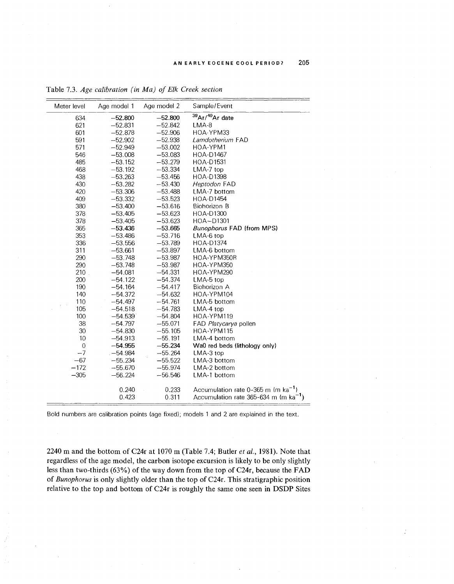| Meter level | Age model 1 | Age model 2 | Sample/Event                                 |
|-------------|-------------|-------------|----------------------------------------------|
| 634         | $-52.800$   | $-52.800$   | <sup>39</sup> Ar/ <sup>40</sup> Ar date      |
| 621         | $-52.831$   | $-52.842$   | $LMA-8$                                      |
| 601         | $-52.878$   | $-52.906$   | HOA-YPM33                                    |
| 591         | $-52.902$   | $-52.938$   | Lamdotherium FAD                             |
| 571         | $-52.949$   | $-53.002$   | HOA-YPM1                                     |
| 546         | $-53.008$   | $-53.083$   | HOA-D1467                                    |
| 485         | $-53.152$   | $-53.279$   | HOA-D1531                                    |
| 468         | $-53.192$   | $-53.334$   | LMA-7 top                                    |
| 438         | $-53.263$   | $-53.456$   | HOA-D1398                                    |
| 430         | $-53.282$   | $-53.430$   | Heptodon FAD                                 |
| 420         | $-53.306$   | $-53.488$   | LMA-7 bottom                                 |
| 409         | $-53.332$   | $-53.523$   | HOA-D1454                                    |
| 380         | $-53.400$   | $-53.616$   | Biohorizon B                                 |
| 378         | $-53.405$   | $-53.623$   | HOA-D1300                                    |
| 378         | $-53.405$   | $-53.623$   | HOA-D1301                                    |
| 365         | $-53.436$   | $-53.665$   | <b>Bunophorus FAD (from MPS)</b>             |
| 353         | $-53.486$   | $-53.716$   | LMA-6 top                                    |
| 336         | $-53.556$   | $-53.789$   | HOA-D1374                                    |
| 311         | $-53.661$   | $-53.897$   | LMA-6 bottom                                 |
| 290         | $-53.748$   | $-53.987$   | HOA-YPM350R                                  |
| 290         | $-53.748$   | $-53.987$   | HOA-YPM350                                   |
| 210         | $-54.081$   | $-54.331$   | HOA-YPM290                                   |
| 200         | $-54.122$   | $-54.374$   | LMA-5 top                                    |
| 190         | $-54.164$   | $-54.417$   | Biohorizon A                                 |
| 140         | $-54.372$   | $-54.632$   | HOA-YPM104                                   |
| 110         | $-54.497$   | $-54.761$   | LMA-5 bottom                                 |
| 105         | $-54.518$   | $-54.783$   | LMA-4 top                                    |
| 100         | $-54.539$   | $-54.804$   | HOA-YPM119                                   |
| 38          | $-54.797$   | $-55.071$   | FAD Platycarya pollen                        |
| 30          | $-54.830$   | $-55.105$   | HOA-YPM115                                   |
| 10          | $-54.913$   | $-55.191$   | LMA-4 bottom                                 |
| $\mathbf 0$ | $-54.955$   | $-55.234$   | Wa0 red beds (lithology only)                |
| $-7$        | $-54.984$   | $-55.264$   | LMA-3 top                                    |
| $-67$       | $-55.234$   | $-55.522$   | LMA-3 bottom                                 |
| $-172$      | $-55.670$   | $-55.974$   | LMA-2 bottom                                 |
| $-305$      | $-56.224$   | $-56.546$   | LMA-1 bottom                                 |
|             | 0.240       | 0.233       | Accumulation rate 0-365 m (m $ka^{-1}$ )     |
|             | 0.423       | 0.311       | Accumulation rate $365-634$ m (m $ka^{-1}$ ) |

Table 7.3. *Age calibration (in Ma) of Elk Creek section*

Bold numbers are calibration points (age fixed); models <sup>1</sup> and 2 are explained in the text.

 m and the bottom of C24r at 1070 m (Table 7.4; Butler *et ol.,* 1981). Note that regardless of the age model, the carbon isotope excursion is likely to be only slightly less than two-thirds (63%) of the way down from the top of C24r, because the FAD of *Bunophorus* is only slightly older than the top of C24r. This stratigraphic position relative to the top and bottom of C24r is roughly the same one seen in DSDP Sites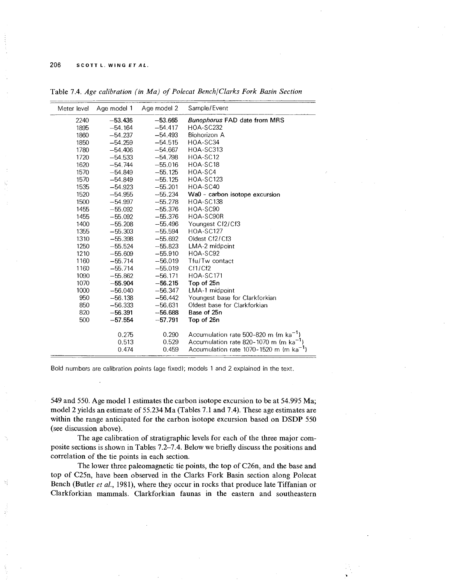| Meter level | Age model 1 | Age model 2 | Sample/Event                                 |
|-------------|-------------|-------------|----------------------------------------------|
| 2240        | $-53.436$   | $-53.665$   | <b>Bunophorus FAD date from MRS</b>          |
| 1895        | $-54.164$   | $-54.417$   | HOA-SC232                                    |
| 1860        | $-54.237$   | $-54.493$   | Biohorizon A                                 |
| 1850        | $-54.259$   | $-54.515$   | HOA-SC34                                     |
| 1780        | $-54.406$   | $-54.667$   | HOA-SC313                                    |
| 1720        | $-54.533$   | $-54.798$   | HOA-SC12                                     |
| 1620        | $-54.744$   | $-55.016$   | HOA-SC18                                     |
| 1570        | $-54.849$   | $-55.125$   | HOA-SC4                                      |
| 1570        | $-54.849$   | $-55.125$   | <b>HOA-SC123</b>                             |
| 1535        | $-54.923$   | $-55.201$   | HOA-SC40                                     |
| 1520        | $-54.955$   | $-55.234$   | Wa0 - carbon isotope excursion               |
| 1500        | $-54.997$   | $-55.278$   | HOA-SC138                                    |
| 1455        | $-55.092$   | $-55.376$   | HOA-SC90                                     |
| 1455        | $-55.092$   | $-55.376$   | HOA-SC90R                                    |
| 1400        | $-55.208$   | $-55.496$   | Youngest Cf2/Cf3                             |
| 1355        | $-55.303$   | $-55.594$   | HOA-SC127                                    |
| 1310        | $-55.398$   | $-55.692$   | Oldest Cf2/Cf3                               |
| 1250        | $-55.524$   | $-55.823$   | LMA-2 midpoint                               |
| 1210        | $-55.609$   | $-55.910$   | HOA-SC92                                     |
| 1160        | $-55.714$   | $-56.019$   | Tfu/Tw contact                               |
| 1160        | $-55.714$   | $-55.019$   | Cf1/Cf2                                      |
| 1090        | $-55.862$   | $-56.171$   | <b>HOA-SC171</b>                             |
| 1070        | $-55.904$   | $-56.215$   | Top of 25n                                   |
| 1000        | $-56.040$   | $-56.347$   | LMA-1 midpoint                               |
| 950         | $-56.138$   | $-56.442$   | Youngest base for Clarkforkian               |
| 850         | $-56.333$   | $-56.631$   | Oldest base for Clarkforkian                 |
| 820         | $-56.391$   | $-56.688$   | Base of 25n                                  |
| 500         | $-57.554$   | $-57.791$   | Top of 26n                                   |
|             | 0.275       | 0.290       | Accumulation rate $500-820$ m (m $ka^{-1}$ ) |
|             | 0.513       | 0.529       | Accumulation rate 820-1070 m (m $ka^{-1}$ )  |
|             | 0.474       | 0.459       | Accumulation rate 1070-1520 m (m $ka^{-1}$ ) |
|             |             |             |                                              |

Table 7.4. *Age calibration (in Ma) of Polecat Bench/Clarks Fork Basin Section*

Bold numbers are calibration points (age fixed); models <sup>1</sup> and 2 explained in the text.

 and 550. Age model <sup>1</sup> estimates the carbon isotope excursion to be at 54.995 Ma; model 2 yields an estimate of 55.234 Ma (Tables 7.1 and 7.4). These age estimates are within the range anticipated for the carbon isotope excursion based on DSDP 550 (see discussion above).

The age calibration of stratigraphic levels for each of the three major composite sections is shown in Tables 7.2-7.4. Below we briefly discuss the positions and correlation of the tie points in each section.

The lower three paleomagnetic tie points, the top of C26n, and the base and top of C25n, have been observed in the Clarks Fork Basin section along Polecat Bench (Butler *et al.,* 1981), where they occur in rocks that produce late Tiffanian or Clarkforkian mammals. Clarkforkian faunas in the eastern and southeastern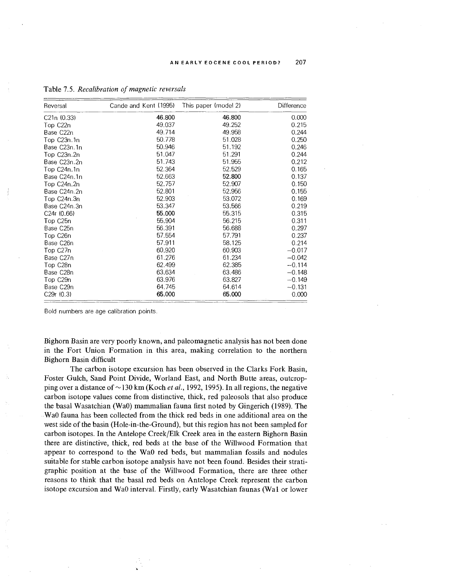| Reversal     | Cande and Kent (1995) | This paper (model 2) | Difference |
|--------------|-----------------------|----------------------|------------|
| C21n (0.33)  | 46.800                | 46.800               | 0.000      |
| Top C22n     | 49.037                | 49.252               | 0.215      |
| Base C22n    | 49.714                | 49.958               | 0.244      |
| Top C23n.1n  | 50.778                | 51.028               | 0.250      |
| Base C23n.1n | 50.946                | 51.192               | 0.246      |
| Top C23n.2n  | 51.047                | 51.291               | 0.244      |
| Base C23n.2n | 51.743                | 51.955               | 0.212      |
| Top C24n.1n  | 52.364                | 52.529               | 0.165      |
| Base C24n.1n | 52.663                | 52.800               | 0.137      |
| Top C24n.2n  | 52.757                | 52.907               | 0.150      |
| Base C24n.2n | 52.801                | 52.956               | 0.155      |
| Top C24n.3n  | 52.903                | 53.072               | 0.169      |
| Base C24n.3n | 53.347                | 53.566               | 0.219      |
| C24r (0.66)  | 55.000                | 55.315               | 0.315      |
| Top C25n     | 55.904                | 56.215               | 0.311      |
| Base C25n    | 56.391                | 56.688               | 0.297      |
| Top C26n     | 57.554                | 57.791               | 0.237      |
| Base C26n    | 57.911                | 58.125               | 0.214      |
| Top C27n     | 60.920                | 60.903               | $-0.017$   |
| Base C27n    | 61.276                | 61.234               | $-0.042$   |
| Top C28n     | 62.499                | 62.385               | $-0.114$   |
| Base C28n    | 63.634                | 63.486               | $-0.148$   |
| Top C29n     | 63.976                | 63.827               | $-0.149$   |
| Base C29n    | 64.745                | 64.614               | $-0.131$   |
| C29r (0.3)   | 65.000                | 65.000               | 0.000      |

Table 7.5. *Recalibration of magnetic reversals*

Bold numbers are age calibration points.

Bighorn Basin are very poorly known, and paleomagnetic analysis has not been done in the Fort Union Formation in this area, making correlation to the northern Bighorn Basin difficult

The carbon isotope excursion has been observed in the Clarks Fork Basin, Foster Gulch, Sand Point Divide, Worland East, and North Butte areas, outcropping over a distance of  $\sim$  130 km (Koch *et al.*, 1992, 1995). In all regions, the negative carbon isotope values come from distinctive, thick, red paleosols that also produce the basal Wasatchian (WaO) mammalian fauna first noted by Gingerich (1989). The WaO fauna has been collected from the thick red beds in one additional area on the west side of the basin (Hole-in-the-Ground), but this region has not been sampled for carbon isotopes. In the Antelope Creek/Elk Creek area in the eastern Bighorn Basin there are distinctive, thick, red beds at the base of the Willwood Formation that appear to correspond to the WaO red beds, but mammalian fossils and nodules suitable for stable carbon isotope analysis have not been found. Besides their stratigraphic position at the base of the Willwood Formation, there are three other reasons to think that the basal red beds on Antelope Creek represent the carbon isotope excursion and WaO interval. Firstly, early Wasatchian faunas (Wal or lower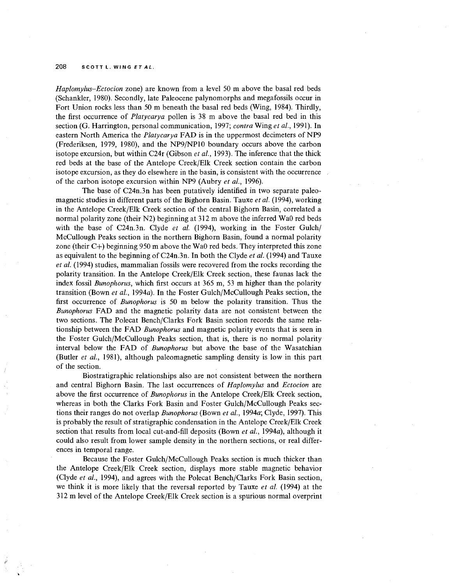*Haplomylus-Ectocion* zone) are known from a level 50 m above the basal red beds (Schankler, 1980). Secondly, late Paleocene palynomorphs and megafossils occur in Fort Union rocks less than 50 m beneath the basal red beds (Wing, 1984). Thirdly, the first occurrence of *Platycarya* pollen is 38 m above the basal red bed in this section (G. Harrington, personal communication, 1997; *contra* Wing *et al.,* 1991). In eastern North America the *Platycarya* FAD is in the uppermost decimeters of NP9 (Frederiksen, 1979, 1980), and the NP9/NP10 boundary occurs above the carbon isotope excursion, but within C24r (Gibson *et al.,* 1993). The inference that the thick red beds at the base of the Antelope Creek/Elk Creek section contain the carbon isotope excursion, as they do elsewhere in the basin, is consistent with the occurrence of the carbon isotope excursion within NP9 (Aubry *et al.,* 1996).

The base of C24n.3n has been putatively identified in two separate paleomagnetic studies in different parts of the Bighorn Basin. Tauxe *et al.* (1994), working in the Antelope Creek/Elk Creek section of the central Bighorn Basin, correlated a normal polarity zone (their N2) beginning at 312 m above the inferred WaO red beds with the base of C24n.3n. Clyde *et al.* (1994), working in the Foster Gulch/ McCullough Peaks section in the northern Bighorn Basin, found a normal polarity zone (their C+) beginning 950 m above the WaO red beds. They interpreted this zone as equivalent to the beginning of C24n.3n. In both the Clyde *et al.* (1994) and Tauxe *et al.* (1994) studies, mammalian fossils were recovered from the rocks recording the polarity transition. In the Antelope Creek/Elk Creek section, these faunas lack the index fossil *Bunophorus,* which first occurs at 365 m, 53 m higher than the polarity transition (Bown *et al.,* 1994a). In the Foster Gulch/McCullough Peaks section, the first occurrence of *Bunophorus* is 50 m below the polarity transition. Thus the *Bunophorus* FAD and the magnetic polarity data are not consistent between the two sections. The Polecat Bench/Clarks Fork Basin section records the same relationship between the FAD *Bunophorus* and magnetic polarity events that is seen in the Foster Gulch/McCullough Peaks section, that is, there is no normal polarity interval below the FAD of *Bunophorus* but above the base of the Wasatchian (Butler *et al,* 1981), although paleomagnetic sampling density is low in this part of the section.

Biostratigraphic relationships also are not consistent between the northern and central Bighorn Basin. The last occurrences of *Haplomylus* and *Ectocion* are above the first occurrence of *Bunophorus* in the Antelope Creek/Elk Creek section, whereas in both the Clarks Fork Basin and Foster Gulch/McCullough Peaks sections their ranges do not overlap *Bunophorus* (Bown *et al,* 1994a; Clyde, 1997). This is probably the result of stratigraphic condensation in the Antelope Creek/Elk Creek section that results from local cut-and-fill deposits (Bown *et al.,* 1994a), although it could also result from lower sample density in the northern sections, or real differences in temporal range.

Because the Foster Gulch/McCullough Peaks section is much thicker than the Antelope Creek/Elk Creek section, displays more stable magnetic behavior (Clyde *et al.,* 1994), and agrees with the Polecat Bench/Clarks Fork Basin section, we think it is more likely that the reversal reported by Tauxe *et al.* (1994) at the 312 m level of the Antelope Creek/Elk Creek section is a spurious normal overprint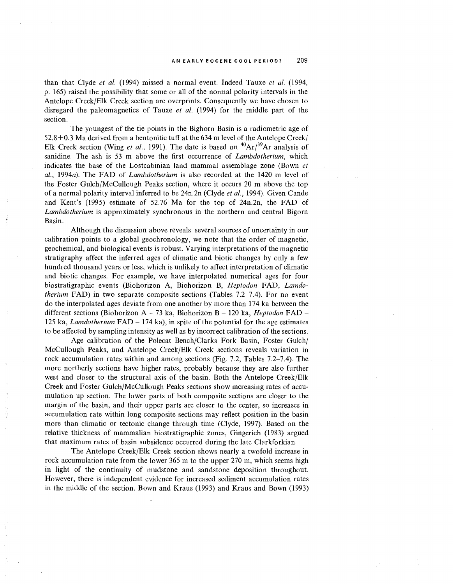than that Clyde *et al.* (1994) missed a normal event. Indeed Tauxe *et al.* (1994, p. 165) raised the possibility that some or all of the normal polarity intervals in the Antelope Creek/Elk Creek section are overprints. Consequently we have chosen to disregard the paleomagnetics of Tauxe *et al.* (1994) for the middle part of the section.

The youngest of the tie points in the Bighorn Basin is a radiometric age of  $52.8 \pm 0.3$  Ma derived from a bentonitic tuff at the 634 m level of the Antelope Creek/ Elk Creek section (Wing *et al.*, 1991). The date is based on  ${}^{40}Ar/{}^{39}Ar$  analysis of sanidine. The ash is 53 m above the first occurrence of *Lambdotherium,* which indicates the base of the Lostcabinian land mammal assemblage zone (Bown *et al.,* 1994a). The FAD of *Lambdotherium* is also recorded at the 1420 m level of the Foster Gulch/McCullough Peaks section, where it occurs 20 m above the top of a normal polarity interval inferred to be 24n.2n (Clyde *et al.,* 1994). Given Cande and Kent's (1995) estimate of 52.76 Ma for the top of 24n.2n, the FAD of *Lambdotherium* is approximately synchronous in the northern and central Bigorn Basin.

Although the discussion above reveals several sources of uncertainty in our calibration points to a global geochronology, we note that the order of magnetic, geochemical, and biological events is robust. Varying interpretations of the magnetic stratigraphy affect the inferred ages of climatic and biotic changes by only a few hundred thousand years or less, which is unlikely to affect interpretation of climatic and biotic changes. For example, we have interpolated numerical ages for four biostratigraphic events (Biohorizon A, Biohorizon B, *Heptodon* FAD, *Lamdotherium* FAD) in two separate composite sections (Tables 7.2–7.4). For no event do the interpolated ages deviate from one another by more than 174 ka between the different sections (Biohorizon <sup>A</sup> - <sup>73</sup> ka, Biohorizon <sup>B</sup> - <sup>120</sup> ka, *Heptodon* FAD - <sup>125</sup> ka, *Lamdotherium* FAD - <sup>174</sup> ka), in spite of the potential for the age estimates to be affected by sampling intensity as well as by incorrect calibration of the sections.

Age calibration of the Polecat Bench/Clarks Fork Basin, Foster Gulch/ McCullough Peaks, and Antelope Creek/Elk Creek sections reveals variation in rock accumulation rates within and among sections (Fig. 7.2, Tables 7.2-7.4). The more northerly sections have higher rates, probably because they are also further west and closer to the structural axis of the basin. Both the Antelope Creek/Elk Creek and Foster Gulch/McCullough Peaks sections show increasing rates of accumulation up section. The lower parts of both composite sections are closer to the margin of the basin, and their upper parts are closer to the center, so increases in accumulation rate within long composite sections may reflect position in the basin more than climatic or tectonic change through time (Clyde, 1997). Based on the relative thickness of mammalian biostratigraphic zones, Gingerich (1983) argued that maximum rates of basin subsidence occurred during the late Clarkforkian.

The Antelope Creek/Elk Creek section shows nearly a twofold increase in rock accumulation rate from the lower 365 m to the upper 270 m, which seems high in light of the continuity of mudstone and sandstone deposition throughout. However, there is independent evidence for increased sediment accumulation rates in the middle of the section. Bown and Kraus (1993) and Kraus and Bown (1993)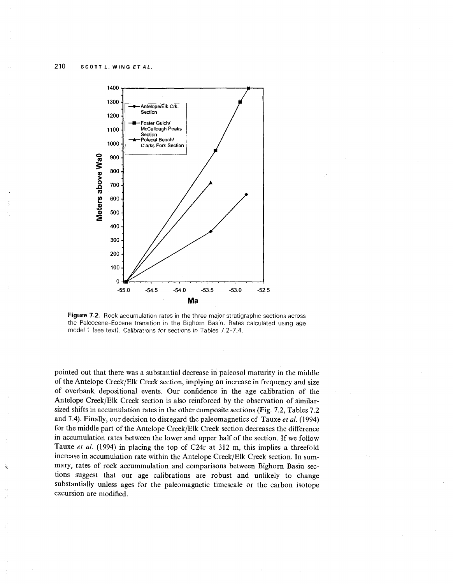

**Figure 7.2.** Rock accumulation rates in the three major stratigraphic sections across the Paleocene-Eocene transition in the Bighorn Basin. Rates calculated using age model <sup>1</sup> (see text). Calibrations for sections in Tables 7.2-7.4.

pointed out that there was a substantial decrease in paleosol maturity in the middle of the Antelope Creek/Elk Creek section, implying an increase in frequency and size of overbank depositional events. Our confidence in the age calibration of the Antelope Creek/Elk Creek section is also reinforced by the observation of similarsized shifts in accumulation rates in the other composite sections (Fig. 7.2, Tables 7.2 and 7.4). Finally, our decision to disregard the paleomagnetics of Tauxe *et al.* (1994) for the middle part of the Antelope Creek/Elk Creek section decreases the difference in accumulation rates between the lower and upper half of the section. If we follow Tauxe *et al.* (1994) in placing the top of C24r at 312 m, this implies a threefold increase in accumulation rate within the Antelope Creek/Elk Creek section. In summary, rates of rock accummulation and comparisons between Bighorn Basin sections suggest that our age calibrations are robust and unlikely to change substantially unless ages for the paleomagnetic timescale or the carbon isotope excursion are modified.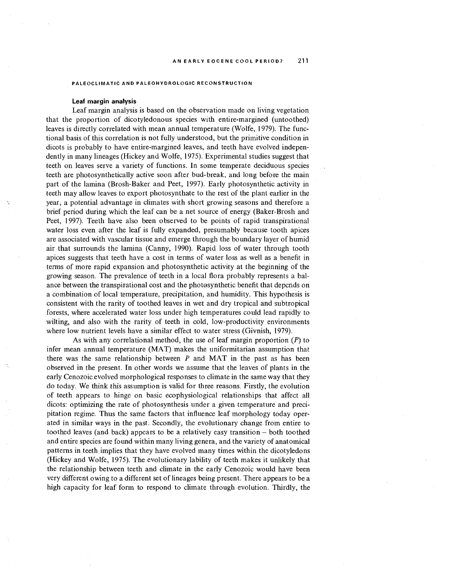#### PALEOCLIMATIC AND PALEOHYDROLOGIC RECONSTRUCTION

## Leaf margin analysis

Leaf margin analysis is based on the observation made on living vegetation that the proportion of dicotyledonous species with entire-margined (untoothed) leaves is directly correlated with mean annual temperature (Wolfe, 1979). The functional basis of this correlation is not fully understood, but the primitive condition in dicots is probably to have entire-margined leaves, and teeth have evolved independently in many lineages (Hickey and Wolfe, 1975). Experimental studies suggest that teeth on leaves serve a variety of functions. In some temperate deciduous species teeth are photosynthetically active soon after bud-break, and long before the main part of the lamina (Brosh-Baker and Peet, 1997). Early photosynthetic activity in teeth may allow leaves to export photosynthate to the rest of the plant earlier in the year, a potential advantage in climates with short growing seasons and therefore a brief period during which the leaf can be a net source of energy (Baker-Brosh and Peet, 1997). Teeth have also been observed to be points of rapid transpirational water loss even after the leaf is fully expanded, presumably because tooth apices are associated with vascular tissue and emerge through the boundary layer of humid air that surrounds the lamina (Canny, 1990). Rapid loss of water through tooth apices suggests that teeth have a cost in terms of water loss as well as a benefit in terms of more rapid expansion and photosynthetic activity at the beginning of the growing season. The prevalence of teeth in a local flora probably represents a balance between the transpirational cost and the photosynthetic benefit that depends on a combination of local temperature, precipitation, and humidity. This hypothesis is consistent with the rarity of toothed leaves in wet and dry tropical and subtropical forests, where accelerated water loss under high temperatures could lead rapidly to wilting, and also with the rarity of teeth in cold, low-productivity environments where low nutrient levels have a similar effect to water stress (Givnish, 1979).

As with any correlational method, the use of leaf margin proportion *(P)* to infer mean annual temperature (MAT) makes the uniformitarian assumption that there was the same relationship between *P* and MAT in the past as has been observed in the present. In other words we assume that the leaves of plants in the early Cenozoic evolved morphological responses to climate in the same way that they do today. We think this assumption is valid for three reasons. Firstly, the evolution of teeth appears to hinge on basic ecophysiological relationships that affect all dicots: optimizing the rate of photosynthesis under a given temperature and precipitation regime. Thus the same factors that influence leaf morphology today operated in similar ways in the past. Secondly, the evolutionary change from entire to toothed leaves (and back) appears to be a relatively easy transition  $-$  both toothed and entire species are found within many living genera, and the variety of anatomical patterns in teeth implies that they have evolved many times within the dicotyledons (Hickey and Wolfe, 1975). The evolutionary lability of teeth makes it unlikely that the relationship between teeth and climate in the early Cenozoic would have been very different owing to a different set of lineages being present. There appears to be a high capacity for leaf form to respond to climate through evolution. Thirdly, the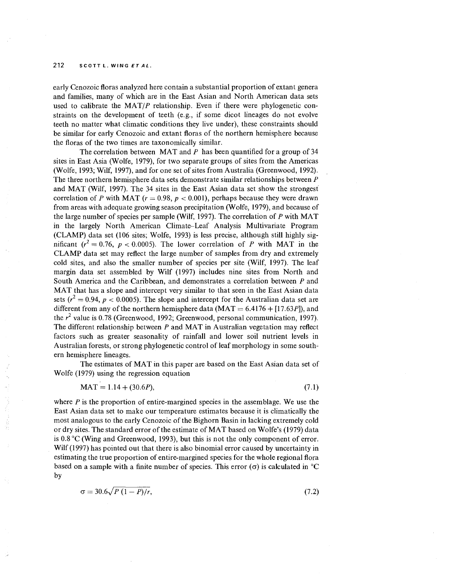early Cenozoic floras analyzed here contain a substantial proportion of extant genera and families, many of which are in the East Asian and North American data sets used to calibrate the  $MAT/P$  relationship. Even if there were phylogenetic constraints on the development of teeth (e.g., if some dicot lineages do not evolve teeth no matter what climatic conditions they live under), these constraints should be similar for early Cenozoic and extant floras of the northern hemisphere because the floras of the two times are taxonomically similar.

The correlation between MAT and *P* has been quantified for a group of 34 sites in East Asia (Wolfe, 1979), for two separate groups of sites from the Americas (Wolfe, 1993; Wilf, 1997), and for one set of sites from Australia (Greenwood, 1992). The three northern hemisphere data sets demonstrate similar relationships between *P* and MAT (Wilf, 1997). The 34 sites in the East Asian data set show the strongest correlation of *P* with MAT ( $r = 0.98$ ,  $p < 0.001$ ), perhaps because they were drawn from areas with adequate growing season precipitation (Wolfe, 1979), and because of the large number of species per sample (Wilf, 1997). The correlation of *P* with MAT in the largely North American Climate-Leaf Analysis Multivariate Program (CLAMP) data set (106 sites; Wolfe, 1993) is less precise, although still highly significant  $(r^2 = 0.76, p < 0.0005)$ . The lower correlation of *P* with MAT in the CLAMP data set may reflect the large number of samples from dry and extremely cold sites, and also the smaller number of species per site (Wilf, 1997). The leaf margin data set assembled by Wilf (1997) includes nine sites from North and South America and the Caribbean, and demonstrates a correlation between *P* and MAT that has a slope and intercept very similar to that seen in the East Asian data sets  $(r^2 = 0.94, p < 0.0005)$ . The slope and intercept for the Australian data set are different from any of the northern hemisphere data ( $MAT = 6.4176 + [17.63P]$ ), and the *r*<sup>2</sup> value is 0.78 (Greenwood, 1992; Greenwood, personal communication, 1997). The different relationship between *P* and MAT in Australian vegetation may reflect factors such as greater seasonality of rainfall and lower soil nutrient levels in Australian forests, or strong phylogenetic control of leaf morphology in some southern hemisphere lineages.

The estimates of MAT in this paper are based on the East Asian data set of Wolfe (1979) using the regression equation

 $MAT = 1.14 + (30.6P),$  (7.1)

where *P* is the proportion of entire-margined species in the assemblage. We use the East Asian data set to make our temperature estimates because it is climatically the most analogous to the early Cenozoic of the Bighorn Basin in lacking extremely cold or dry sites. The standard error of the estimate of MAT based on Wolfe's (1979) data is 0.8 °C (Wing and Greenwood, 1993), but this is not the only component of error. Wilf (1997) has pointed out that there is also binomial error caused by uncertainty in estimating the true proportion of entire-margined species for the whole regional flora based on a sample with a finite number of species. This error ( $\sigma$ ) is calculated in  $^{\circ}C$ by

$$
\sigma = 30.6\sqrt{P(1 - P)/r},\tag{7.2}
$$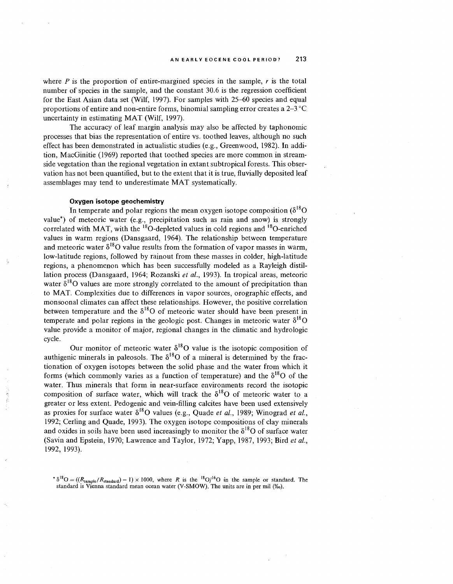where *P* is the proportion of entire-margined species in the sample, *r* is the total number of species in the sample, and the constant 30.6 is the regression coefficient for the East Asian data set (Wilf, 1997). For samples with 25-60 species and equal proportions of entire and non-entire forms, binomial sampling error creates a 2-3 °C uncertainty in estimating MAT (Wilf, 1997).

The accuracy of leaf margin analysis may also be affected by taphonomic processes that bias the representation of entire vs. toothed leaves, although no such effect has been demonstrated in actualistic studies (e.g., Greenwood, 1982). In addition, MacGinitie (1969) reported that toothed species are more common in streamside vegetation than the regional vegetation in extant subtropical forests. This observation has not been quantified, but to the extent that it is true, fluvially deposited leaf assemblages may tend to underestimate MAT systematically.

## Oxygen isotope geochemistry

In temperate and polar regions the mean oxygen isotope composition  $(\delta^{18}O)$ value\*) of meteoric water (e.g., precipitation such as rain and snow) is strongly correlated with MAT, with the  $^{18}$ O-depleted values in cold regions and  $^{18}$ O-enriched values in warm regions (Dansgaard, 1964). The relationship between temperature and meteoric water  $\delta^{18}$ O value results from the formation of vapor masses in warm, low-latitude regions, followed by rainout from these masses in colder, high-latitude regions, a phenomenon which has been successfully modeled as a Rayleigh distillation process (Dansgaard, 1964; Rozanski *et ai,* 1993). In tropical areas, meteoric water  $\delta^{18}$ O values are more strongly correlated to the amount of precipitation than to MAT. Complexities due to differences in vapor sources, orographic effects, and monsoonal climates can affect these relationships. However, the positive correlation between temperature and the  $\delta^{18}O$  of meteoric water should have been present in temperate and polar regions in the geologic post. Changes in meteoric water  $\delta^{18}$ O value provide a monitor of major, regional changes in the climatic and hydrologic cycle.

Our monitor of meteoric water  $\delta^{18}$ O value is the isotopic composition of authigenic minerals in paleosols. The  $\delta^{18}$ O of a mineral is determined by the fractionation of oxygen isotopes between the solid phase and the water from which it forms (which commonly varies as a function of temperature) and the  $\delta^{18}O$  of the water. Thus minerals that form in near-surface environments record the isotopic composition of surface water, which will track the  $\delta^{18}O$  of meteoric water to a greater or less extent. Pedogenic and vein-filling calcites have been used extensively as proxies for surface water  $\delta^{18}$ O values (e.g., Quade *et al.*, 1989; Winograd *et al.*, 1992; Cerling and Quade, 1993). The oxygen isotope compositions of clay minerals and oxides in soils have been used increasingly to monitor the  $\delta^{18}$ O of surface water (Savin and Epstein, 1970; Lawrence and Taylor, 1972; Yapp, 1987, 1993; Bird *et ai,* 1992, 1993).

<sup>\*</sup>  $\delta^{18}O = ((R_{sample}/R_{standard}) - 1) \times 1000$ , where *R* is the <sup>18</sup>O/<sup>16</sup>O in the sample or standard. The standard is Vienna standard mean ocean water (V-SMOW). The units are in per mil (%o).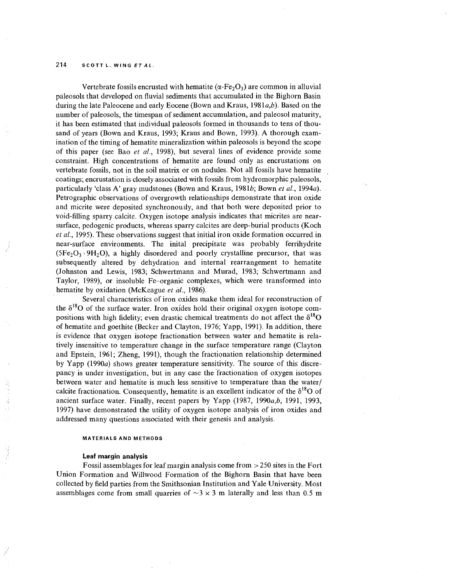Vertebrate fossils encrusted with hematite ( $\alpha$ -Fe<sub>2</sub>O<sub>3</sub>) are common in alluvial paleosols that developed on fluvial sediments that accumulated in the Bighorn Basin during the late Paleocene and early Eocene (Bown and Kraus, *\98\a,b).* Based on the number of paleosols, the timespan of sediment accumulation, and paleosol maturity, it has been estimated that individual paleosols formed in thousands to tens of thousand of years (Bown and Kraus, 1993; Kraus and Bown, 1993). A thorough examination of the timing of hematite mineralization within paleosols is beyond the scope of this paper (see Bao *et al.,* 1998), but several lines of evidence provide some constraint. High concentrations of hematite are found only as encrustations on vertebrate fossils, not in the soil matrix or on nodules. Not all fossils have hematite coatings; encrustation is closely associated with fossils from hydromorphic paleosols, particularly 'class A' gray mudstones (Bown and Kraus, 19816; Bown *et al.,* 1994a). Petrographic observations of overgrowth relationships demonstrate that iron oxide and micrite were deposited synchronously, and that both were deposited prior to void-filling sparry calcite. Oxygen isotope analysis indicates that micrites are nearsurface, pedogenic products, whereas sparry calcites are deep-burial products (Koch *et al.,* 1995). These observations suggest that initial iron oxide formation occurred in near-surface environments. The inital precipitate was probably ferrihydrite  $(5Fe<sub>2</sub>O<sub>3</sub> \cdot 9H<sub>2</sub>O)$ , a highly disordered and poorly crystalline precursor, that was subsequently altered by dehydration and internal rearrangement to hematite (Johnston and Lewis, 1983; Schwertmann and Murad, 1983; Schwertmann and Taylor, 1989), or insoluble Fe-organic complexes, which were transformed into hematite by oxidation (McKeague *et al.,* 1986).

Several characteristics of iron oxides make them ideal for reconstruction of the  $\delta^{18}$ O of the surface water. Iron oxides hold their original oxygen isotope compositions with high fidelity; even drastic chemical treatments do not affect the  $\delta^{18}$ O of hematite and goethite (Becker and Clayton, 1976; Yapp, 1991). In addition, there is evidence that oxygen isotope fractionation between water and hematite is relatively insensitive to temperature change in the surface temperature range (Clayton and Epstein, 1961; Zheng, 1991), though the fractionation relationship determined by Yapp (1990a) shows greater temperature sensitivity. The source of this discrepancy is under investigation, but in any case the fractionation of oxygen isotopes between water and hematite is much less sensitive to temperature than the water/ calcite fractionation. Consequently, hematite is an excellent indicator of the  $\delta^{18}O$  of ancient surface water. Finally, recent papers by Yapp (1987, *I990a,b,* 1991, 1993, 1997) have demonstrated the utility of oxygen isotope analysis of iron oxides and addressed many questions associated with their genesis and analysis.

## MATERIALS AND METHODS

## Leaf margin analysis

Fossil assemblages for leaf margin analysis come from >250 sites in the Fort Union Formation and Willwood Formation of the Bighorn Basin that have been collected by field parties from the Smithsonian Institution and Yale University. Most assemblages come from small quarries of  $\sim$ 3 x 3 m laterally and less than 0.5 m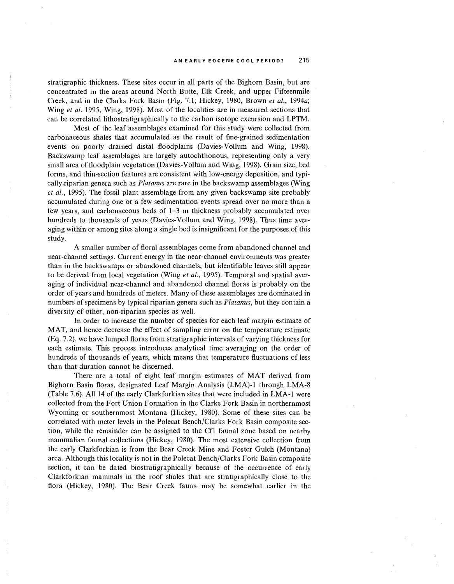stratigraphic thickness. These sites occur in all parts of the Bighorn Basin, but are concentrated in the areas around North Butte, Elk Creek, and upper Fifteenmile Creek, and in the Clarks Fork Basin (Fig. 7.1; Hickey, 1980, Brown *et al,* 1994a; Wing *et al.* 1995, Wing, 1998). Most of the localities are in measured sections that can be correlated lithostratigraphically to the carbon isotope excursion and LPTM.

Most of the leaf assemblages examined for this study were collected from carbonaceous shales that accumulated as the result of fine-grained sedimentation events on poorly drained distal floodplains (Davies-Vollum and Wing, 1998). Backswamp leaf assemblages are largely autochthonous, representing only a very small area of floodplain vegetation (Davies-Vollum and Wing, 1998). Grain size, bed forms, and thin-section features are consistent with low-energy deposition, and typically riparian genera such as *Platanus* are rare in the backswamp assemblages (Wing *et al,* 1995). The fossil plant assemblage from any given backswamp site probably accumulated during one or a few sedimentation events spread over no more than a few years, and carbonaceous beds of 1-3 m thickness probably accumulated over hundreds to thousands of years (Davies-Vollum and Wing, 1998). Thus time averaging within or among sites along a single bed is insignificant for the purposes of this study.

A smaller number of floral assemblages come from abandoned channel and near-channel settings. Current energy in the near-channel environments was greater than in the backswamps or abandoned channels, but identifiable leaves still appear to be derived from local vegetation (Wing *et al,* 1995). Temporal and spatial averaging of individual near-channel and abandoned channel floras is probably on the order of years and hundreds of meters. Many of these assemblages are dominated in numbers ofspecimens by typical riparian genera such as *Platanus,* but they contain a diversity of other, non-riparian species as well.

In order to increase the number of species for each leaf margin estimate of MAT, and hence decrease the effect of sampling error on the temperature estimate (Eq. 7.2), we have lumped floras from stratigraphic intervals of varying thickness for each estimate. This process introduces analytical time averaging on the order of hundreds of thousands of years, which means that temperature fluctuations of less than that duration cannot be discerned.

There are a total of eight leaf margin estimates of MAT derived from Bighorn Basin floras, designated Leaf Margin Analysis (LMA)-l through LMA-8 (Table 7.6). All 14 of the early Clarkforkian sites that were included in LMA-1 were collected from the Fort Union Formation in the Clarks Fork Basin in northernmost Wyoming or southernmost Montana (Hickey, 1980). Some of these sites can be correlated with meter levels in the Polecat Bench/Clarks Fork Basin composite section, while the remainder can be assigned to the Cfl faunal zone based on nearby mammalian faunal collections (Hickey, 1980). The most extensive collection from the early Clarkforkian is from the Bear Creek Mine and Foster Gulch (Montana) area. Although this locality is not in the Polecat Bench/Clarks Fork Basin composite section, it can be dated biostratigraphically because of the occurrence of early Clarkforkian mammals in the roof shales that are stratigraphically close to the flora (Hickey, 1980). The Bear Creek fauna may be somewhat earlier in the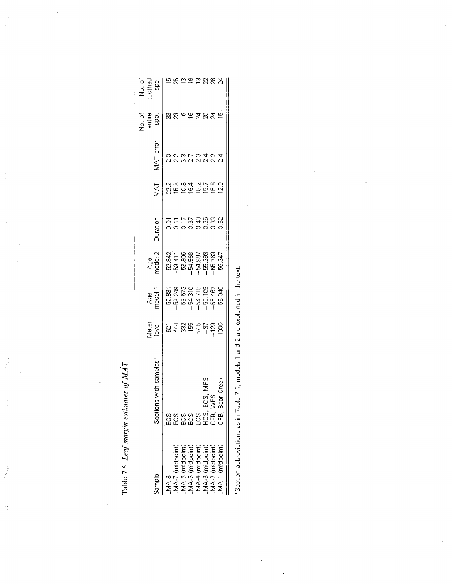$\varrho$ S H

 $\frac{1}{2}$ 

 $\frac{1}{2} \sum_{i=1}^{n}$ 

| sample                                                                                                                        | Sections with samples" | yeter<br>Ver                                    | Age<br>model | Age<br>model 2                                                                                                                                                                                                                                                                                                                                    | Duration | MAT  | MAT error  | entire<br>io<br>No.<br>spp. | No. of<br>toothed<br>spp. |
|-------------------------------------------------------------------------------------------------------------------------------|------------------------|-------------------------------------------------|--------------|---------------------------------------------------------------------------------------------------------------------------------------------------------------------------------------------------------------------------------------------------------------------------------------------------------------------------------------------------|----------|------|------------|-----------------------------|---------------------------|
|                                                                                                                               |                        |                                                 |              |                                                                                                                                                                                                                                                                                                                                                   |          |      |            | ೫ ಇ                         |                           |
|                                                                                                                               |                        |                                                 |              |                                                                                                                                                                                                                                                                                                                                                   |          |      | 23<br>2322 |                             |                           |
|                                                                                                                               |                        |                                                 |              |                                                                                                                                                                                                                                                                                                                                                   |          |      |            |                             |                           |
|                                                                                                                               |                        |                                                 |              |                                                                                                                                                                                                                                                                                                                                                   |          |      |            |                             |                           |
|                                                                                                                               |                        |                                                 |              |                                                                                                                                                                                                                                                                                                                                                   |          |      |            |                             | ≌                         |
|                                                                                                                               | ECS,                   |                                                 |              |                                                                                                                                                                                                                                                                                                                                                   |          |      |            |                             |                           |
| LMA-8<br>LMA-7 (midpoint)<br>LMA-6 (midpoint)<br>LMA-5 (midpoint)<br>LMA-3 (midpoint)<br>LMA-2 (midpoint)<br>LMA-1 (midpoint) |                        | <u>និទ្ធិងនាម ដូច ដូច</u><br>និទ្ធិងនាម ដូច ដូច |              | $\begin{array}{r} -1.84 \\ -2.84 \\ -1.86 \\ -1.86 \\ -1.87 \\ -1.86 \\ -1.86 \\ -1.86 \\ -1.86 \\ -1.86 \\ -1.86 \\ -1.86 \\ -1.86 \\ -1.86 \\ -1.86 \\ -1.86 \\ -1.86 \\ -1.86 \\ -1.86 \\ -1.86 \\ -1.86 \\ -1.86 \\ -1.86 \\ -1.86 \\ -1.86 \\ -1.86 \\ -1.86 \\ -1.86 \\ -1.86 \\ -1.86 \\ -1.86 \\ -1.86 \\ -1.86 \\ -1.86 \\ -1.86 \\ -1.$ | 5528888  |      | 2<br>22224 | 3835                        | 283                       |
|                                                                                                                               | reel,                  |                                                 |              |                                                                                                                                                                                                                                                                                                                                                   |          | 12.9 |            |                             |                           |
|                                                                                                                               |                        |                                                 |              |                                                                                                                                                                                                                                                                                                                                                   |          |      |            |                             |                           |

explained CD O E JD C c o ion abbrevia o CD CO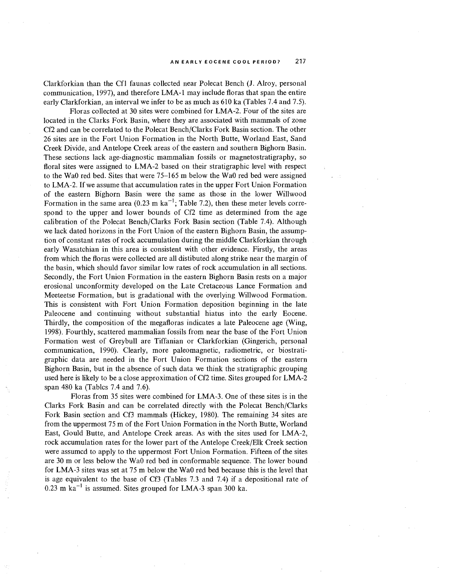Clarkforkian than the Cfl faunas collected near Polecat Bench (J. Alroy, personal communication, 1997), and therefore LMA-1 may include floras that span the entire early Clarkforkian, an interval we infer to be as much as 610 ka (Tables 7.4 and 7.5).

Floras collected at 30 sites were combined for LMA-2. Four of the sites are located in the Clarks Fork Basin, where they are associated with mammals of zone Cf2 and can be correlated to the Polecat Bench/Clarks Fork Basin section. The other 26 sites are in the Fort Union Formation in the North Butte, Worland East, Sand Creek Divide, and Antelope Creek areas of the eastern and southern Bighorn Basin. These sections lack age-diagnostic mammalian fossils or magnetostratigraphy, so floral sites were assigned to LMA-2 based on their stratigraphic level with respect to the WaO red bed. Sites that were 75-165 m below the WaO red bed were assigned to LMA-2. Ifwe assume that accumulation rates in the upper Fort Union Formation of the eastern Bighorn Basin were the same as those in the lower Willwood Formation in the same area (0.23 m  $ka^{-1}$ ; Table 7.2), then these meter levels correspond to the upper and lower bounds of Cf2 time as determined from the age calibration of the Polecat Bench/Clarks Fork Basin section (Table 7.4). Although we lack dated horizons in the Fort Union of the eastern Bighorn Basin, the assumption of constant rates of rock accumulation during the middle Clarkforkian through early Wasatchian in this area is consistent with other evidence. Firstly, the areas from which the floras were collected are all distibuted along strike near the margin of the basin, which should favor similar low rates of rock accumulation in all sections. Secondly, the Fort Union Formation in the eastern Bighorn Basin rests on a major erosional unconformity developed on the Late Cretaceous Lance Formation and Meeteetse Formation, but is gradational with the overlying Willwood Formation. This is consistent with Fort Union Formation deposition beginning in the late Paleocene and continuing without substantial hiatus into the early Eocene. Thirdly, the composition of the megafloras indicates a late Paleocene age (Wing, 1998). Fourthly, scattered mammalian fossils from near the base of the Fort Union Formation west of Greybull are Tiffanian or Clarkforkian (Gingerich, personal communication, 1990). Clearly, more paleomagnetic, radiometric, or biostratigraphic data are needed in the Fort Union Formation sections of the eastern Bighorn Basin, but in the absence of such data we think the stratigraphic grouping used here is likely to be a close approximation of Cf2 time. Sites grouped for LMA-2 span 480 ka (Tables 7.4 and 7.6).

Floras from 35 sites were combined for LMA-3. One of these sites is in the Clarks Fork Basin and can be correlated directly with the Polecat Bench/Clarks Fork Basin section and Cf3 mammals (Hickey, 1980). The remaining 34 sites are from the uppermost 75 m of the Fort Union Formation in the North Butte, Worland East, Gould Butte, and Antelope Creek areas. As with the sites used for LMA-2, rock accumulation rates for the lower part of the Antelope Creek/Elk Creek section were assumed to apply to the uppermost Fort Union Formation. Fifteen of the sites are 30 m or less below the WaO red bed in conformable sequence. The lower bound for LMA-3 sites was set at 75 m below the WaO red bed because this is the level that is age equivalent to the base of Cf3 (Tables 7.3 and 7.4) if a depositional rate of  $0.23$  m ka<sup>-1</sup> is assumed. Sites grouped for LMA-3 span 300 ka.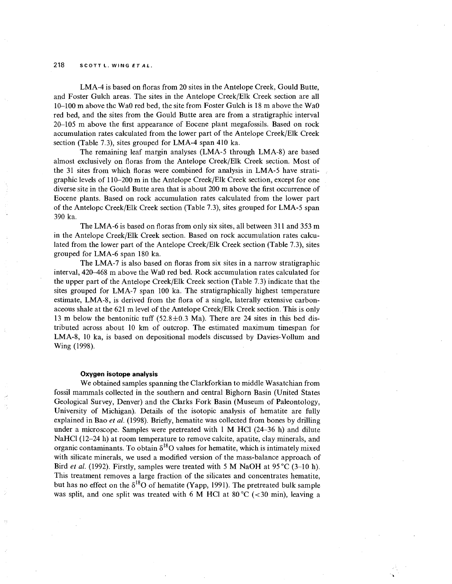LMA-4 is based on floras from 20 sites in the Antelope Creek, Gould Butte, and Foster Gulch areas. The sites in the Antelope Creek/Elk Creek section are all 10-100 m above the WaO red bed, the site from Foster Gulch is 18 m above the WaO red bed, and the sites from the Gould Butte area are from a stratigraphic interval 20-105 m above the first appearance of Eocene plant megafossils. Based on rock accumulation rates calculated from the lower part of the Antelope Creek/Elk Creek section (Table 7.3), sites grouped for LMA-4 span 410 ka.

The remaining leaf margin analyses (LMA-5 through LMA-8) are based almost exclusively on floras from the Antelope Creek/Elk Creek section. Most of the 31 sites from which floras were combined for analysis in LMA-5 have stratigraphic levels of 110-200 m in the Antelope Creek/Elk Creek section, except for one diverse site in the Gould Butte area that is about 200 m above the first occurrence of Eocene plants. Based on rock accumulation rates calculated from the lower part of the Antelope Creek/Elk Creek section (Table 7.3), sites grouped for LMA-5 span 390 ka.

The LMA-6 is based on floras from only six sites, all between 311 and 353 m in the Antelope Creek/Elk Creek section. Based on rock accumulation rates calculated from the lower part of the Antelope Creek/Elk Creek section (Table 7.3), sites grouped for LMA-6 span 180 ka.

The LMA-7 is also based on floras from six sites in a narrow stratigraphic interval, 420-468 m above the WaO red bed. Rock accumulation rates calculated for the upper part of the Antelope Creek/Elk Creek section (Table 7.3) indicate that the sites grouped for LMA-7 span 100 ka. The stratigraphically highest temperature estimate, LMA-8, is derived from the flora of a single, laterally extensive carbonaceous shale at the 621 m level of the Antelope Creek/Elk Creek section. This is only 13 m below the bentonitic tuff ( $52.8 \pm 0.3$  Ma). There are 24 sites in this bed distributed across about 10 km of outcrop. The estimated maximum timespan for LMA-8, 10 ka, is based on depositional models discussed by Davies-Vollum and Wing (1998).

#### Oxygen isotope analysis

We obtained samples spanning the Clarkforkian to middle Wasatchian from fossil mammals collected in the southern and central Bighorn Basin (United States Geological Survey, Denver) and the Clarks Fork Basin (Museum of Paleontology, University of Michigan). Details of the isotopic analysis of hematite are fully explained in Bao *et al.* (1998). Briefly, hematite was collected from bones by drilling under a microscope. Samples were pretreated with <sup>1</sup> M HC1 (24-36 h) and dilute NaHCl (12-24 h) at room temperature to remove calcite, apatite, clay minerals, and organic contaminants. To obtain  $\delta^{18}O$  values for hematite, which is intimately mixed with silicate minerals, we used a modified version of the mass-balance approach of Bird *et al.* (1992). Firstly, samples were treated with 5 M NaOH at 95 °C (3–10 h). This treatment removes a large fraction of the silicates and concentrates hematite, but has no effect on the  $\delta^{18}$ O of hematite (Yapp, 1991). The pretreated bulk sample was split, and one split was treated with 6 M HCl at 80 °C (<30 min), leaving a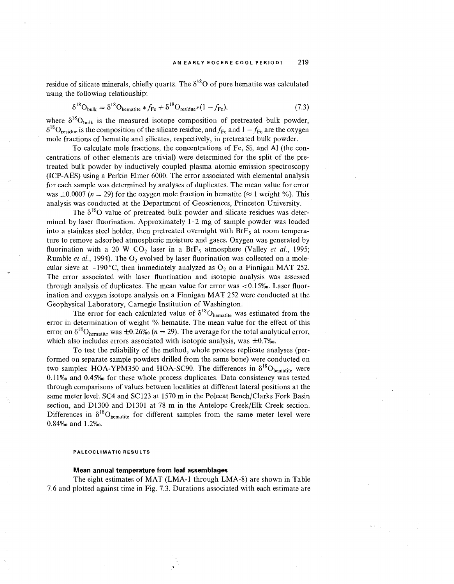residue of silicate minerals, chiefly quartz. The  $\delta^{18} \mathrm{O}$  of pure hematite was calculated using the following relationship:

$$
\delta^{18}O_{\text{bulk}} = \delta^{18}O_{\text{hematic}} * f_{\text{Fe}} + \delta^{18}O_{\text{residue}} * (1 - f_{\text{Fe}}),
$$
\n(7.3)

where  $\delta^{18}O_{\text{bulk}}$  is the measured isotope composition of pretreated bulk powder, where  $\delta^{\text{18}}\text{O}_{\text{residue}}$  is the measured isotope composition of pretreated oult powder.<br> $\delta^{\text{18}}\text{O}_{\text{residue}}$  is the composition of the silicate residue, and  $f_{\text{Fe}}$  and  $1 - f_{\text{Fe}}$  are the oxygen mole fractions of hematite and silicates, respectively, in pretreated bulk powder.

To calculate mole fractions, the concentrations of Fe, Si, and Al (the concentrations of other elements are trivial) were determined for the split of the pretreated bulk powder by inductively coupled plasma atomic emission spectroscopy (ICP-AES) using a Perkin Elmer 6000. The error associated with elemental analysis for each sample was determined by analyses of duplicates. The mean value for error was  $\pm 0.0007$  ( $n = 29$ ) for the oxygen mole fraction in hematite ( $\approx 1$  weight %). This analysis was conducted at the Department of Geosciences, Princeton University.

The  $\delta^{18}$ O value of pretreated bulk powder and silicate residues was determined by laser fluorination. Approximately 1-2 mg of sample powder was loaded into a stainless steel holder, then pretreated overnight with  $Brf<sub>5</sub>$  at room temperature to remove adsorbed atmospheric moisture and gases. Oxygen was generated by fluorination with a 20 W  $CO<sub>2</sub>$  laser in a BrF<sub>5</sub> atmosphere (Valley *et al.*, 1995; Rumble *et al.*, 1994). The  $O_2$  evolved by laser fluorination was collected on a molecular sieve at  $-190^{\circ}$ C, then immediately analyzed as  $O_2$  on a Finnigan MAT 252. The error associated with laser fluorination and isotopic analysis was assessed through analysis of duplicates. The mean value for error was  $< 0.15$ %. Laser fluorination and oxygen isotope analysis on a Finnigan MAT 252 were conducted at the Geophysical Laboratory, Carnegie Institution of Washington.

The error for each calculated value of  $\delta^{18}O_{\text{hematite}}$  was estimated from the error in determination of weight % hematite. The mean value for the effect of this error on  $\delta^{18} \text{O}_{\text{hemaitte}}$  was  $\pm 0.26\%$  ( $n=29$ ). The average for the total analytical error, which also includes errors associated with isotopic analysis, was  $\pm 0.7\%$ .

To test the reliability of the method, whole process replicate analyses (performed on separate sample powders drilled from the same bone) were conducted on two samples: HOA-YPM350 and HOA-SC90. The differences in  $\delta^{18}O_{\rm hematite}$  were 0.11‰ and 0.45‰ for these whole process duplicates. Data consistency was tested through comparisons of values between localities at different lateral positions at the same meter level: SC4 and SCI23 at 1570 m in the Polecat Bench/Clarks Fork Basin section, and D1300 and D1301 at 78 m in the Antelope Creek/Elk Creek section. Differences in  $\delta^{18}O_{\text{hemaitite}}$  for different samples from the same meter level were 0.84%o and 1.2%o.

#### PALEOCLIMATIC RESULTS

#### Mean annual temperature from leaf assemblages

The eight estimates of MAT (LMA-1 through LMA-8) are shown in Table 7.6 and plotted against time in Fig. 7.3. Durations associated with each estimate are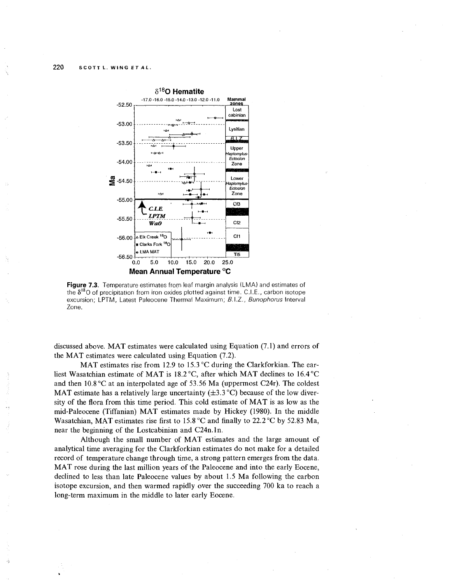

Figure 7.3. Temperature estimates from leaf margin analysis (LMA) and estimates of the  $\delta^{18}$ O of precipitation from iron oxides plotted against time. C.I.E., carbon isotope excursion; LPTM, Latest Paleocene Thermal Maximum; B.I.Z., Bunophorus Interval Zone.

discussed above. MAT estimates were calculated using Equation (7.1) and errors of the MAT estimates were calculated using Equation (7.2).

MAT estimates rise from 12.9 to 15.3 °C during the Clarkforkian. The earliest Wasatchian estimate of MAT is 18.2 °C, after which MAT declines to 16.4 °C and then  $10.8 \degree C$  at an interpolated age of 53.56 Ma (uppermost C24r). The coldest MAT estimate has a relatively large uncertainty  $(\pm 3.3 \degree C)$  because of the low diversity of the flora from this time period. This cold estimate of MAT is as low as the mid-Paleocene (Tiffanian) MAT estimates made by Hickey (1980). In the middle Wasatchian, MAT estimates rise first to 15.8 °C and finally to 22.2 °C by 52.83 Ma, near the beginning of the Lostcabinian and C24n.ln.

Although the small number of MAT estimates and the large amount of analytical time averaging for the Clarkforkian estimates do not make for a detailed record of temperature change through time, a strong pattern emerges from the data. MAT rose during the last million years of the Paleocene and into the early Eocene, declined to less than late Paleocene values by about 1.5 Ma following the carbon isotope excursion, and then warmed rapidly over the succeeding 700 ka to reach a long-term maximum in the middle to later early Eocene.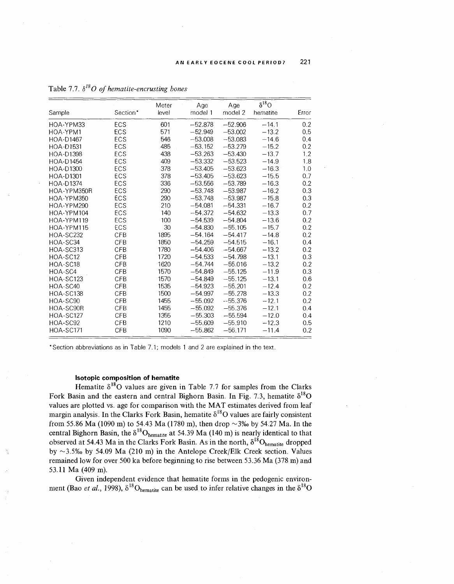|                  |            | Meter | Age       | Age       | $\delta^{18}O$ |       |
|------------------|------------|-------|-----------|-----------|----------------|-------|
| Sample           | Section*   | level | model 1   | model 2   | hematite       | Error |
| HOA-YPM33        | ECS        | 601   | $-52.878$ | $-52.906$ | $-14.1$        | 0.2   |
| HOA-YPM1         | ECS        | 571   | $-52.949$ | $-53.002$ | $-13.2$        | 0.5   |
| HOA-D1467        | ECS        | 546   | $-53.008$ | $-53.083$ | $-14.6$        | 0.4   |
| HOA-D1531        | ECS        | 485   | $-53.152$ | $-53.279$ | $-15.2$        | 0.2   |
| <b>HOA-D1398</b> | ECS        | 438   | $-53.263$ | $-53.430$ | $-13.7$        | 1.2   |
| HOA-D1454        | ECS        | 409   | $-53.332$ | $-53.523$ | $-14.9$        | 1.8   |
| <b>HOA-D1300</b> | ECS        | 378   | $-53.405$ | $-53.623$ | $-16.3$        | 1.0   |
| HOA-D1301        | ECS        | 378   | $-53.405$ | $-53.623$ | $-15.5$        | 0.7   |
| HOA-D1374        | ECS        | 336   | $-53.556$ | $-53.789$ | $-16.3$        | 0.2   |
| HOA-YPM350R      | ECS        | 290   | $-53.748$ | $-53.987$ | $-16.2$        | 0.3   |
| HOA-YPM350       | ECS        | 290   | $-53.748$ | $-53.987$ | $-15.8$        | 0.3   |
| HOA-YPM290       | ECS        | 210   | $-54.081$ | $-54.331$ | $-16.7$        | 0.2   |
| HOA-YPM104       | ECS        | 140   | $-54.372$ | $-54.632$ | $-13.3$        | 0.7   |
| HOA-YPM119       | ECS        | 100   | $-54.539$ | $-54.804$ | $-13.6$        | 0.2   |
| HOA-YPM115       | ECS        | 30    | $-54.830$ | $-55.105$ | $-15.7$        | 0.2   |
| <b>HOA-SC232</b> | CFB        | 1895  | $-54.164$ | $-54.417$ | $-14.8$        | 0.2   |
| HOA-SC34         | CFB        | 1850  | $-54.259$ | $-54.515$ | $-16.1$        | 0.4   |
| <b>HOA-SC313</b> | CFB        | 1780  | $-54.406$ | $-54.667$ | $-13.2$        | 0.2   |
| HOA-SC12         | CFB        | 1720  | $-54.533$ | $-54.798$ | $-13.1$        | 0.3   |
| HOA-SC18         | CFB        | 1620  | $-54.744$ | $-55.016$ | $-13.2$        | 0.2   |
| HOA-SC4          | <b>CFB</b> | 1570  | $-54.849$ | $-55.125$ | $-11.9$        | 0.3   |
| <b>HOA-SC123</b> | <b>CFB</b> | 1570  | $-54.849$ | $-55.125$ | $-13.1$        | 0.6   |
| HOA-SC40         | <b>CFB</b> | 1535  | $-54.923$ | $-55.201$ | $-12.4$        | 0.2   |
| HOA-SC138        | CFB        | 1500  | $-54.997$ | $-55.278$ | $-13.3$        | 0.2   |
| HOA-SC90         | CFB        | 1455  | $-55.092$ | $-55.376$ | $-12.1$        | 0.2   |
| HOA-SC90R        | <b>CFB</b> | 1455  | $-55.092$ | $-55.376$ | $-12.1$        | 0.4   |
| HOA-SC127        | <b>CFB</b> | 1355  | $-55.303$ | $-55.594$ | $-12.0$        | 0.4   |
| HOA-SC92         | CFB        | 1210  | $-55.609$ | $-55.910$ | $-12.3$        | 0.5   |
| <b>HOA-SC171</b> | <b>CFB</b> | 1090  | $-55.862$ | $-56.171$ | $-11.4$        | 0.2   |

Table 7.7. *<sup>S</sup> <sup>18</sup>0 of hematite-encrusting bones*

"Section abbreviations as in Table 7.1; models <sup>1</sup> and 2 are explained in the text.

## Isotopic composition of hematite

Hematite  $\delta^{18}$ O values are given in Table 7.7 for samples from the Clarks Fork Basin and the eastern and central Bighorn Basin. In Fig. 7.3, hematite  $\delta^{18}O$ values are plotted vs. age for comparison with the MAT estimates derived from leaf margin analysis. In the Clarks Fork Basin, hematite  $\delta^{18}O$  values are fairly consistent from 55.86 Ma (1090 m) to 54.43 Ma (1780 m), then drop  $\sim$ 3‰ by 54.27 Ma. In the central Bighorn Basin, the  $\delta^{18}O_{\rm{hemaitte}}$  at 54.39 Ma (140 m) is nearly identical to that observed at 54.43 Ma in the Clarks Fork Basin. As in the north,  $\delta^{18}O_{\text{hemaitie}}$  dropped by  $\sim$ 3.5% by 54.09 Ma (210 m) in the Antelope Creek/Elk Creek section. Values remained low for over 500 ka before beginning to rise between 53.36 Ma (378 m) and 53.11 Ma (409 m).

Given independent evidence that hematite forms in the pedogenic environment (Bao *et al.*, 1998),  $\delta^{18}O_{\text{hemaitie}}$  can be used to infer relative changes in the  $\delta^{18}O$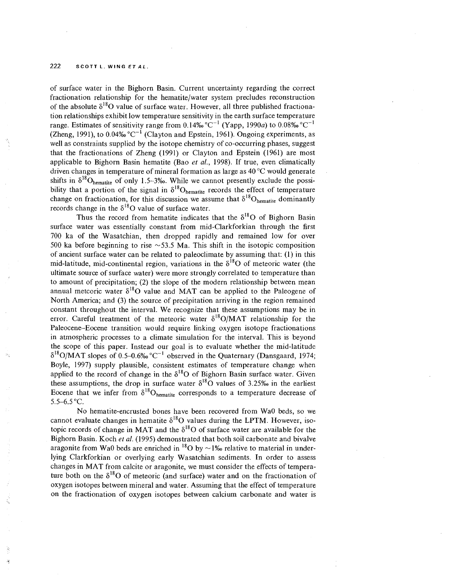of surface water in the Bighorn Basin. Current uncertainty regarding the correct fractionation relationship for the hematite/water system precludes reconstruction of the absolute  $\delta^{18}O$  value of surface water. However, all three published fractionation relationships exhibit low temperature sensitivity in the earth surface temperature range. Estimates of sensitivity range from 0.14‰ °C<sup>-1</sup> (Yapp, 1990a) to 0.08‰ °C<sup>-1</sup> (Zheng, 1991), to  $0.04\%$  °C<sup>-1</sup> (Clayton and Epstein, 1961). Ongoing experiments, as well as constraints supplied by the isotope chemistry of co-occurring phases, suggest that the fractionations of Zheng (1991) or Clayton and Epstein (1961) are most applicable to Bighorn Basin hematite (Bao *et ai,* 1998). If true, even climatically driven changes in temperature of mineral formation as large as 40 °C would generate shifts in  $\delta^{18}O_{\text{hemaite}}$  of only 1.5–3‰. While we cannot presently exclude the possibility that a portion of the signal in  $\delta^{18}O_{\text{hematic}}$  records the effect of temperature change on fractionation, for this discussion we assume that  $\delta^{18}O_{\text{hematite}}$  dominantly records change in the  $\delta^{18}$ O value of surface water.

Thus the record from hematite indicates that the  $\delta^{18}$ O of Bighorn Basin surface water was essentially constant from mid-Clarkforkian through the first 700 ka of the Wasatchian, then dropped rapidly and remained low for over 500 ka before beginning to rise  $\sim$  53.5 Ma. This shift in the isotopic composition of ancient surface water can be related to paleoclimate by assuming that: (1) in this mid-latitude, mid-continental region, variations in the  $\delta^{18}$ O of meteoric water (the ultimate source of surface water) were more strongly correlated to temperature than to amount of precipitation; (2) the slope of the modern relationship between mean annual meteoric water  $\delta^{18}$ O value and MAT can be applied to the Paleogene of North America; and (3) the source of precipitation arriving in the region remained constant throughout the interval. We recognize that these assumptions may be in error. Careful treatment of the meteoric water  $\delta^{18}O/MAT$  relationship for the Paleocene-Eocene transition would require linking oxygen isotope fractionations in atmospheric processes to a climate simulation for the interval. This is beyond the scope of this paper. Instead our goal is to evaluate whether the mid-latitude  $\delta^{18}$ O/MAT slopes of 0.5–0.6‰ °C<sup>-1</sup> observed in the Quaternary (Dansgaard, 1974; Boyle, 1997) supply plausible, consistent estimates of temperature change when applied to the record of change in the  $\delta^{18}$ O of Bighorn Basin surface water. Given these assumptions, the drop in surface water  $\delta^{18}$ O values of 3.25‰ in the earliest Eocene that we infer from  $\delta^{18}O_{\text{hemative}}$  corresponds to a temperature decrease of  $5.5 - 6.5$  °C.

No hematite-encrusted bones have been recovered from WaO beds, so we cannot evaluate changes in hematite  $\delta^{18}$ O values during the LPTM. However, isotopic records of change in MAT and the  $\delta^{18}$ O of surface water are available for the Bighorn Basin. Koch *et al.* (1995) demonstrated that both soil carbonate and bivalve aragonite from WaO beds are enriched in <sup>18</sup>O by  $\sim$  1‰ relative to material in underlying Clarkforkian or overlying early Wasatchian sediments. In order to assess changes in MAT from calcite or aragonite, we must consider the effects of temperature both on the  $\delta^{18}$ O of meteoric (and surface) water and on the fractionation of oxygen isotopes between mineral and water. Assuming that the effect of temperature on the fractionation of oxygen isotopes between calcium carbonate and water is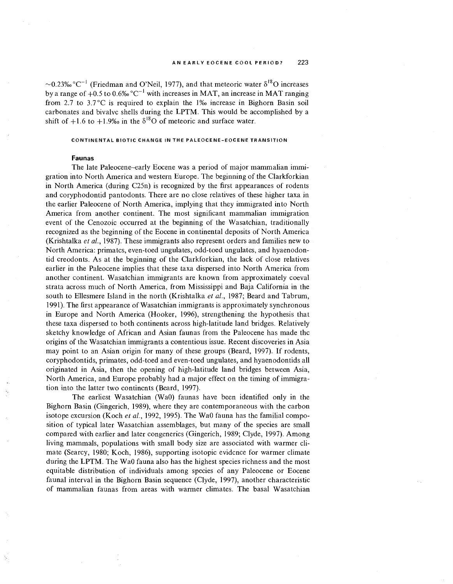${\sim}0.23\%$  °C<sup>-1</sup> (Friedman and O'Neil, 1977), and that meteoric water  $\delta^{18}$ O increases by a range of  $+0.5$  to  $0.6\%$  °C<sup>-1</sup> with increases in MAT, an increase in MAT ranging from 2.7 to  $3.7^{\circ}$ C is required to explain the 1‰ increase in Bighorn Basin soil carbonates and bivalve shells during the LPTM. This would be accomplished by a shift of  $+1.6$  to  $+1.9\%$  in the  $\delta^{18}$ O of meteoric and surface water.

## CONTINENTAL BIOTIC CHANGE IN THE PALEOCENE-EOCENE TRANSITION

## Faunas

The late Paleocene-early Eocene was a period of major mammalian immigration into North America and western Europe. The beginning of the Clarkforkian in North America (during C25n) is recognized by the first appearances of rodents and coryphodontid pantodonts. There are no close relatives of these higher taxa in the earlier Paleocene of North America, implying that they immigrated into North America from another continent. The most significant mammalian immigration event of the Cenozoic occurred at the beginning of the Wasatchian, traditionally recognized as the beginning of the Eocene in continental deposits of North America (Krishtalka *et ai,* 1987). These immigrants also represent orders and families new to North America: primates, even-toed ungulates, odd-toed ungulates, and hyaenodontid creodonts. As at the beginning of the Clarkforkian, the lack of close relatives earlier in the Paleocene implies that these taxa dispersed into North America from another continent. Wasatchian immigrants are known from approximately coeval strata across much of North America, from Mississippi and Baja California in the south to Ellesmere Island in the north (Krishtalka *et ai,* 1987; Beard and Tabrum, 1991). The first appearance of Wasatchian immigrants is approximately synchronous in Europe and North America (Hooker, 1996), strengthening the hypothesis that these taxa dispersed to both continents across high-latitude land bridges. Relatively sketchy knowledge of African and Asian faunas from the Paleocene has made the origins of the Wasatchian immigrants a contentious issue. Recent discoveries in Asia may point to an Asian origin for many of these groups (Beard, 1997). If rodents, coryphodontids, primates, odd-toed and even-toed ungulates, and hyaenodontids all originated in Asia, then the opening of high-latitude land bridges between Asia, North America, and Europe probably had a major effect on the timing of immigration into the latter two continents (Beard, 1997).

The earliest Wasatchian (WaO) faunas have been identified only in the Bighorn Basin (Gingerich, 1989), where they are contemporaneous with the carbon isotope excursion (Koch *et ai,* 1992, 1995). The WaO fauna has the familial composition of typical later Wasatchian assemblages, but many of the species are small compared with earlier and later congenerics (Gingerich, 1989; Clyde, 1997). Among living mammals, populations with small body size are associated with warmer climate (Searcy, 1980; Koch, 1986), supporting isotopic evidence for warmer climate during the LPTM. The WaO fauna also has the highest species richness and the most equitable distribution of individuals among species of any Paleocene or Eocene faunal interval in the Bighorn Basin sequence (Clyde, 1997), another characteristic of mammalian faunas from areas with warmer climates. The basal Wasatchian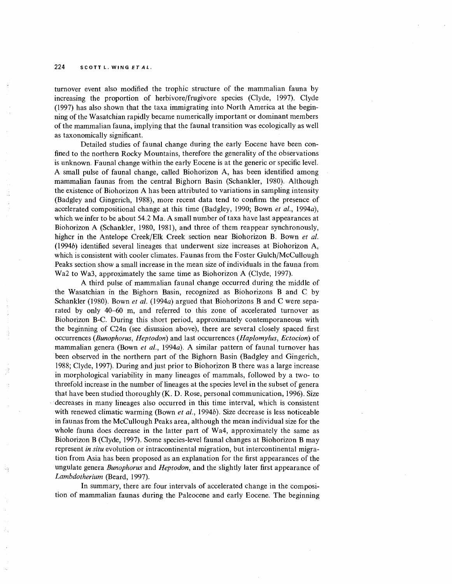turnover event also modified the trophic structure of the mammalian fauna by increasing the proportion of herbivore/frugivore species (Clyde, 1997). Clyde (1997) has also shown that the taxa immigrating into North America at the beginning of the Wasatchian rapidly became numerically important or dominant members of the mammalian fauna, implying that the faunal transition was ecologically as well as taxonomically significant.

Detailed studies of faunal change during the early Eocene have been confined to the northern Rocky Mountains, therefore the generality of the observations is unknown. Faunal change within the early Eocene is at the generic or specific level. A small pulse of faunal change, called Biohorizon A, has been identified among mammalian faunas from the central Bighorn Basin (Schankler, 1980). Although the existence of Biohorizon A has been attributed to variations in sampling intensity (Badgley and Gingerich, 1988), more recent data tend to confirm the presence of accelerated compositional change at this time (Badgley, 1990; Bown *et al.,* 1994a), which we infer to be about 54.2 Ma. A small number of taxa have last appearances at Biohorizon A (Schankler, 1980, 1981), and three of them reappear synchronously, higher in the Antelope Creek/Elk Creek section near Biohorizon B. Bown *et al.* (19946) identified several lineages that underwent size increases at Biohorizon A, which is consistent with cooler climates. Faunas from the Foster Gulch/McCullough Peaks section show a small increase in the mean size of individuals in the fauna from Wa2 to Wa3, approximately the same time as Biohorizon A (Clyde, 1997).

A third pulse of mammalian faunal change occurred during the middle of the Wasatchian in the Bighorn Basin, recognized as Biohorizons B and C by Schankler (1980). Bown *et al.* (1994a) argued that Biohorizons B and C were separated by only 40-60 m, and referred to this zone of accelerated turnover as Biohorizon B-C. During this short period, approximately contemporaneous with the beginning of C24n (see disussion above), there are several closely spaced first occurrences *{Bunophorus, Heptodori)* and last occurrences *{Haplomylus, Ectocion)* of mammalian genera (Bown *et al.,* 1994a). A similar pattern of faunal turnover has been observed in the northern part of the Bighorn Basin (Badgley and Gingerich, 1988; Clyde, 1997). During and just prior to Biohorizon B there was a large increase in morphological variability in many lineages of mammals, followed by a two- to threefold increase in the number of lineages at the species level in the subset of genera that have been studied thoroughly  $(K, D, R$  as personal communication, 1996). Size decreases in many lineages also occurred in this time interval, which is consistent with renewed climatic warming (Bown *et al.,* 19946). Size decrease is less noticeable in faunas from the McCullough Peaks area, although the mean individual size for the whole fauna does decrease in the latter part of Wa4, approximately the same as Biohorizon B (Clyde, 1997). Some species-level faunal changes at Biohorizon B may represent *in situ* evolution or intracontinental migration, but intercontinental migration from Asia has been proposed as an explanation for the first appearances of the ungulate genera *Bunophorus* and *Heptodon,* and the slightly later first appearance of *Lambdotherium* (Beard, 1997).

In summary, there are four intervals of accelerated change in the composition of mammalian faunas during the Paleocene and early Eocene. The beginning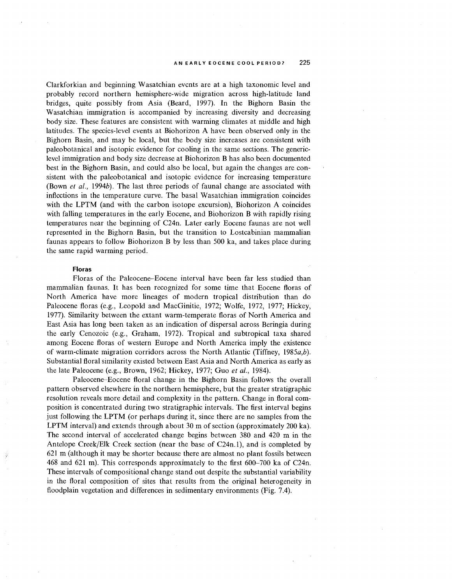Clarkforkian and beginning Wasatchian events are at a high taxonomic level and probably record northern hemisphere-wide migration across high-latitude land bridges, quite possibly from Asia (Beard, 1997). In the Bighorn Basin the Wasatchian immigration is accompanied by increasing diversity and decreasing body size. These features are consistent with warming climates at middle and high latitudes. The species-level events at Biohorizon A have been observed only in the Bighorn Basin, and may be local, but the body size increases are consistent with paleobotanical and isotopic evidence for cooling in the same sections. The genericlevel immigration and body size decrease at Biohorizon B has also been documented best in the Bighorn Basin, and could also be local, but again the changes are consistent with the paleobotanical and isotopic evidence for increasing temperature (Bown *et al.,* 19946). The last three periods of faunal change are associated with inflections in the temperature curve. The basal Wasatchian immigration coincides with the LPTM (and with the carbon isotope excursion), Biohorizon A coincides with falling temperatures in the early Eocene, and Biohorizon B with rapidly rising temperatures near the beginning of C24n. Later early Eocene faunas are not well represented in the Bighorn Basin, but the transition to Lostcabinian mammalian faunas appears to follow Biohorizon B by less than 500 ka, and takes place during the same rapid warming period.

## Floras

Floras of the Paleocene-Eocene interval have been far less studied than mammalian faunas. It has been recognized for some time that Eocene floras of North America have more lineages of modern tropical distribution than do Paleocene floras (e.g., Leopold and MacGinitie, 1972; Wolfe, 1972, 1977; Hickey, 1977). Similarity between the extant warm-temperate floras of North America and East Asia has long been taken as an indication of dispersal across Beringia during the early Cenozoic (e.g., Graham, 1972). Tropical and subtropical taxa shared among Eocene floras of western Europe and North America imply the existence of warm-climate migration corridors across the North Atlantic (Tiffney, 1985a,*b).* Substantial floral similarity existed between East Asia and North America as early as the late Paleocene (e.g., Brown, 1962; Hickey, 1977; Guo *et al,* 1984).

Paleocene-Eocene floral change in the Bighorn Basin follows the overall pattern observed elsewhere in the northern hemisphere, but the greater stratigraphic resolution reveals more detail and complexity in the pattern. Change in floral composition is concentrated during two stratigraphic intervals. The first interval begins just following the LPTM (or perhaps during it, since there are no samples from the LPTM interval) and extends through about 30 m of section (approximately 200 ka). The second interval of accelerated change begins between 380 and 420 m in the Antelope Creek/Elk Creek section (near the base of C24n.l), and is completed by 621 m (although it may be shorter because there are almost no plant fossils between 468 and 621 m). This corresponds approximately to the first 600-700 ka of C24n. These intervals of compositional change stand out despite the substantial variability in the floral composition of sites that results from the original heterogeneity in floodplain vegetation and differences in sedimentary environments (Fig. 7.4).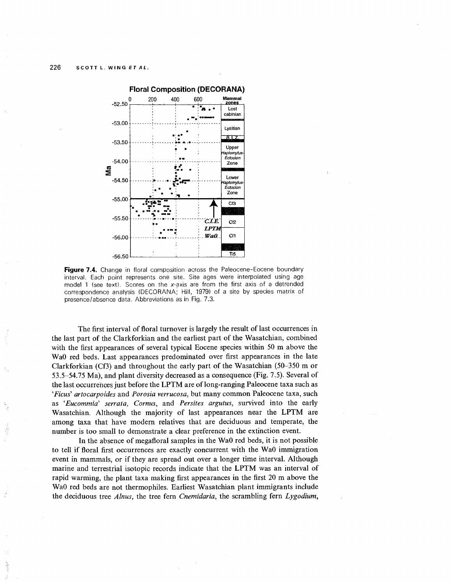

Figure 7.4. Change in floral composition across the Paleocene-Eocene boundary interval. Each point represents one site. Site ages were interpolated using age model <sup>1</sup> (see text). Scores on the x-axis are from the first axis of <sup>a</sup> detrended correspondence analysis (DECORANA; Hill, 1979) of a site by species matrix of presence/absence data. Abbreviations as in Fig. 7.3.

The first interval of floral turnover is largely the result of last occurrences in the last part of the Clarkforkian and the earliest part of the Wasatchian, combined with the first appearances of several typical Eocene species within 50 m above the WaO red beds. Last appearances predominated over first appearances in the late Clarkforkian (Cf3) and throughout the early part of the Wasatchian  $(50-350 \text{ m or } 50)$ 53.5-54.75 Ma), and plant diversity decreased as a consequence (Fig. 7.5). Several of the last occurrences just before the LPTM are of long-ranging Paleocene taxa such as *'Ficus' artocarpoides* and *Porosia verrucosa,* but many common Paleocene taxa, such as '*Eucommid' serrata, Cornus,* and *Persites argutus,* survived into the early Wasatchian. Although the majority of last appearances near the LPTM are among taxa that have modern relatives that are deciduous and temperate, the number is too small to demonstrate a clear preference in the extinction event.

In the absence of megafloral samples in the WaO red beds, it is not possible to tell if floral first occurrences are exactly concurrent with the WaO immigration event in mammals, or if they are spread out over a longer time interval. Although marine and terrestrial isotopic records indicate that the LPTM was an interval of rapid warming, the plant taxa making first appearances in the first 20 m above the WaO red beds are not thermophiles. Earliest Wasatchian plant immigrants include the deciduous tree *Alnus,* the tree fern *Cnemidaria,* the scrambling fern *Lygodium,*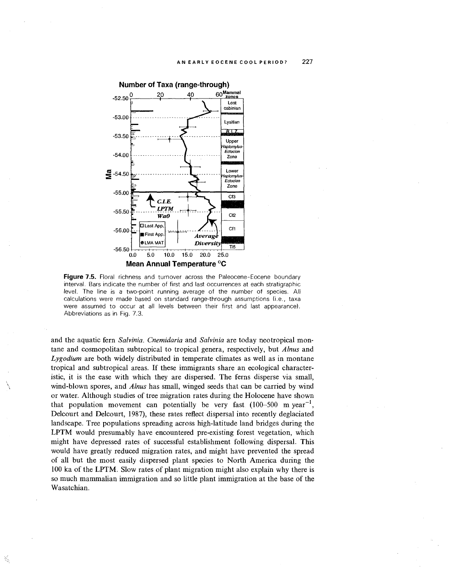

**Figure 7.5.** Floral richness and turnover across the Paleocene-Eocene boundary interval. Bars indicate the number of first and last occurrences at each stratigraphic level. The line is a two-point running average of the number of species. All calculations were made based on standard range-through assumptions (i.e., taxa were assumed to occur at all levels between their first and last appearance). Abbreviations as in Fig. 7.3.

and the aquatic fern *Salvinia. Cnemidaria* and *Salvinia* are today neotropical montane and cosmopolitan subtropical to tropical genera, respectively, but *Alnus* and *Lygodium* are both widely distributed in temperate climates as well as in montane tropical and subtropical areas. If these immigrants share an ecological characteristic, it is the ease with which they are dispersed. The ferns disperse via small, wind-blown spores, and *Alnus* has small, winged seeds that can be carried by wind or water. Although studies of tree migration rates during the Holocene have shown that population movement can potentially be very fast  $(100-500 \text{ m year}^{-1})$ Delcourt and Delcourt, 1987), these rates reflect dispersal into recently deglaciated landscape. Tree populations spreading across high-latitude land bridges during the LPTM would presumably have encountered pre-existing forest vegetation, which might have depressed rates of successful establishment following dispersal. This would have greatly reduced migration rates, and might have prevented the spread of all but the most easily dispersed plant species to North America during the 100 ka of the LPTM. Slow rates of plant migration might also explain why there is so much mammalian immigration and so little plant immigration at the base of the Wasatchian.

K,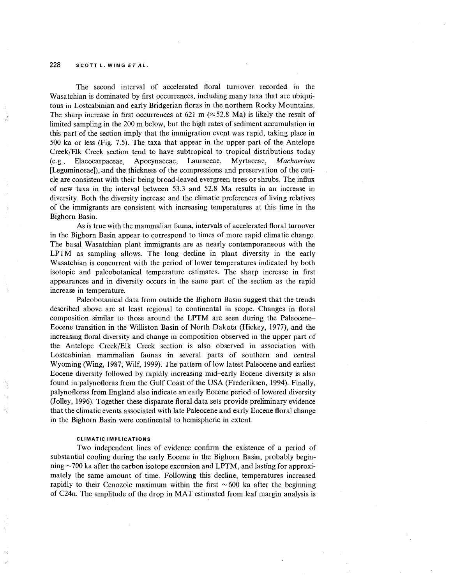The second interval of accelerated floral turnover recorded in the Wasatchian is dominated by first occurrences, including many taxa that are ubiquitous in Lostcabinian and early Bridgerian floras in the northern Rocky Mountains. The sharp increase in first occurrences at 621 m ( $\approx$  52.8 Ma) is likely the result of limited sampling in the 200 m below, but the high rates of sediment accumulation in this part of the section imply that the immigration event was rapid, taking place in 500 ka or less (Fig. 7.5). The taxa that appear in the upper part of the Antelope Creek/Elk Creek section tend to have subtropical to tropical distributions today (e.g., Elaeocarpaceae, Apocynaceae, Lauraceae, Myrtaceae, *Machaerium* [Leguminosae]), and the thickness of the compressions and preservation of the cuticle are consistent with their being broad-leaved evergreen trees or shrubs. The influx of new taxa in the interval between 53.3 and 52.8 Ma results in an increase in diversity. Both the diversity increase and the climatic preferences of living relatives of the immigrants are consistent with increasing temperatures at this time in the Bighorn Basin.

As is true with the mammalian fauna, intervals of accelerated floral turnover in the Bighorn Basin appear to correspond to times of more rapid climatic change. The basal Wasatchian plant immigrants are as nearly contemporaneous with the LPTM as sampling allows. The long decline in plant diversity in the early Wasatchian is concurrent with the period of lower temperatures indicated by both isotopic and paleobotanical temperature estimates. The sharp increase in first appearances and in diversity occurs in the same part of the section as the rapid increase in temperature.

Paleobotanical data from outside the Bighorn Basin suggest that the trends described above are at least regional to continental in scope. Changes in floral composition similar to those around the LPTM are seen during the Paleocene-Eocene transition in the Williston Basin of North Dakota (Hickey, 1977), and the increasing floral diversity and change in composition observed in the upper part of the Antelope Creek/Elk Creek section is also observed in association with Lostcabinian mammalian faunas in several parts of southern and central Wyoming (Wing, 1987; Wilf, 1999). The pattern of low latest Paleocene and earliest Eocene diversity followed by rapidly increasing mid-early Eocene diversity is also found in palynofloras from the Gulf Coast of the USA (Frederiksen, 1994). Finally, palynofloras from England also indicate an early Eocene period of lowered diversity (Jolley, 1996). Together these disparate floral data sets provide preliminary evidence that the climatic events associated with late Paleocene and early Eocene floral change in the Bighorn Basin were continental to hemispheric in extent.

#### CLIMATIC IMPLICATIONS

Two independent lines of evidence confirm the existence of a period of substantial cooling during the early Eocene in the Bighorn Basin, probably beginning  $\sim$ 700 ka after the carbon isotope excursion and LPTM, and lasting for approximately the same amount of time. Following this decline, temperatures increased rapidly to their Cenozoic maximum within the first  $\sim 600$  ka after the beginning of C24n. The amplitude of the drop in MAT estimated from leaf margin analysis is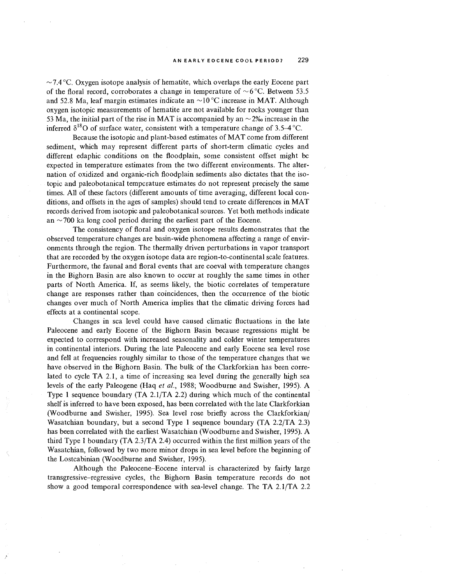$\sim$  7.4 °C. Oxygen isotope analysis of hematite, which overlaps the early Eocene part of the floral record, corroborates a change in temperature of  $\sim 6^{\circ}$ C. Between 53.5 and 52.8 Ma, leaf margin estimates indicate an  $\sim 10^{\circ}$ C increase in MAT. Although oxygen isotopic measurements of hematite are not available for rocks younger than 53 Ma, the initial part of the rise in MAT is accompanied by an  $\sim$  2‰ increase in the inferred  $\delta^{18}$ O of surface water, consistent with a temperature change of 3.5–4 °C.

Because the isotopic and plant-based estimates of MAT come from different sediment, which may represent different parts of short-term climatic cycles and different edaphic conditions on the floodplain, some consistent offset might be expected in temperature estimates from the two different environments. The alternation of oxidized and organic-rich floodplain sediments also dictates that the isotopic and paleobotanical temperature estimates do not represent precisely the same times. All of these factors (different amounts of time averaging, different local conditions, and offsets in the ages of samples) should tend to create differences in MAT records derived from isotopic and paleobotanical sources. Yet both methods indicate an  $\sim$  700 ka long cool period during the earliest part of the Eocene.

The consistency of floral and oxygen isotope results demonstrates that the observed temperature changes are basin-wide phenomena affecting a range of environments through the region. The thermally driven perturbations in vapor transport that are recorded by the oxygen isotope data are region-to-continental scale features. Furthermore, the faunal and floral events that are coeval with temperature changes in the Bighorn Basin are also known to occur at roughly the same times in other parts of North America. If, as seems likely, the biotic correlates of temperature change are responses rather than coincidences, then the occurrence of the biotic changes over much of North America implies that the climatic driving forces had effects at a continental scope.

Changes in sea level could have caused climatic fluctuations in the late Paleocene and early Eocene of the Bighorn Basin because regressions might be expected to correspond with increased seasonality and colder winter temperatures in continental interiors. During the late Paleocene and early Eocene sea level rose and fell at frequencies roughly similar to those of the temperature changes that we have observed in the Bighorn Basin. The bulk of the Clarkforkian has been correlated to cycle TA 2.1, a time of increasing sea level during the generally high sea levels of the early Paleogene (Haq *et al,* 1988; Woodburne and Swisher, 1995). A Type <sup>1</sup> sequence boundary (TA 2.1/TA 2.2) during which much of the continental shelf is inferred to have been exposed, has been correlated with the late Clarkforkian (Woodburne and Swisher, 1995). Sea level rose briefly across the Clarkforkian/ Wasatchian boundary, but a second Type <sup>1</sup> sequence boundary (TA 2.2/TA 2.3) has been correlated with the earliest Wasatchian (Woodburne and Swisher, 1995). A third Type <sup>1</sup> boundary (TA 2.3/TA 2.4) occurred within the first million years of the Wasatchian, followed by two more minor drops in sea level before the beginning of the Lostcabinian (Woodburne and Swisher, 1995).

Although the Paleocene-Eocene interval is characterized by fairly large transgressive-regressive cycles, the Bighorn Basin temperature records do not show a good temporal correspondence with sea-level change. The TA 2.1/TA 2.2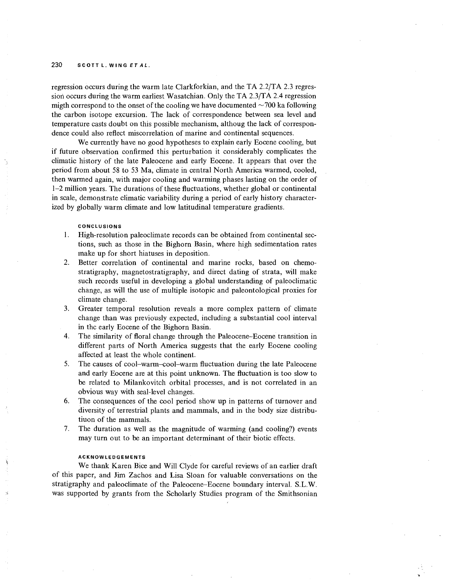regression occurs during the warm late Clarkforkian, and the TA 2.2/TA 2.3 regression occurs during the warm earliest Wasatchian. Only the TA 2.3/TA 2.4 regression migth correspond to the onset of the cooling we have documented  $\sim$  700 ka following the carbon isotope excursion. The lack of correspondence between sea level and temperature casts doubt on this possible mechanism, althoug the lack of correspondence could also reflect miscorrelation of marine and continental sequences.

We currently have no good hypotheses to explain early Eocene cooling, but if future observation confirmed this perturbation it considerably complicates the climatic history of the late Paleocene and early Eocene. It appears that over the period from about 58 to 53 Ma, climate in central North America warmed, cooled, then warmed again, with major cooling and warming phases lasting on the order of 1-2 million years. The durations of these fluctuations, whether global or continental in scale, demonstrate climatic variability during a period of early history characterized by globally warm climate and low latitudinal temperature gradients.

## CONCLUSIONS

- 1. High-resolution paleoclimate records can be obtained from continental sections, such as those in the Bighorn Basin, where high sedimentation rates make up for short hiatuses in deposition.
- 2. Better correlation of continental and marine rocks, based on chemostratigraphy, magnetostratigraphy, and direct dating of strata, will make such records useful in developing a global understanding of paleoclimatic change, as will the use of multiple isotopic and paleontological proxies for climate change.
- 3. Greater temporal resolution reveals a more complex pattern of climate change than was previously expected, including a substantial cool interval in the early Eocene of the Bighorn Basin.
- 4. The similarity of floral change through the Paleocene-Eocene transition in different parts of North America suggests that the early Eocene cooling affected at least the whole continent.
- 5. The causes of cool-warm-cool-warm fluctuation during the late Paleocene and early Eocene are at this point unknown. The fluctuation is too slow to be related to Milankovitch orbital processes, and is not correlated in an obvious way with seal-level changes.
- 6. The consequences of the cool period show up in patterns of turnover and diversity of terrestrial plants and mammals, and in the body size distributiuon of the mammals.
- 7. The duration as well as the magnitude of warming (and cooling?) events may turn out to be an important determinant of their biotic effects.

## ACKNOWLEDGEMENTS

We thank Karen Bice and Will Clyde for careful reviews of an earlier draft of this paper, and Jim Zachos and Lisa Sloan for valuable conversations on the stratigraphy and paleoclimate of the Paleocene-Eocene boundary interval. S.L.W. was supported by grants from the Scholarly Studies program of the Smithsonian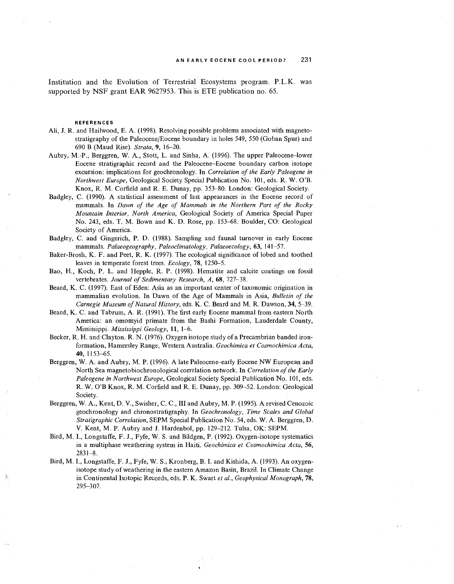Institution and the Evolution of Terrestrial Ecosystems program. P.L.K. was supported by NSF grant EAR 9627953. This is ETE publication no. 65.

#### REFERENCES

- Ali, J. R. and Hailwood, E. A. (1998). Resolving possible problems associated with magnetostratigraphy of the Paleocene/Eocene boundary in holes 549, 550 (Goban Spur) and 690 B (Maud Rise). *Strata,* 9, 16-20.
- Aubry, M.-P., Berggren, W. A., Stott, L. and Sinha, A. (1996). The upper Paleocene-lower Eocene stratigraphic record and the Paleocene-Eocene boundary carbon isotope excursion: implications for geochronology. In *Correlation of the Early Paleogene in Northwest Europe,* Geological Society Special Publication No. 101, eds. R. W. O'B. Knox, R. M. Corfield and R E. Dunay, pp. 353-80. London: Geological Society.
- Badgley, C. (1990). A statistical assessment of last appearances in the Eocene record of mammals. In *Dawn of the Age of Mammals in the Northern Part of the Rocky Mountain Interior, North America,* Geological Society of America Special Paper No. 243, eds. T. M. Bown and K. D. Rose, pp. 153-68. Boulder, CO: Geological Society of America.
- Badgley, C. and Gingerich, P. D. (1988). Sampling and faunal turnover in early Eocene mammals. *Palaeogeography, Paleoclimatology, Palaeoecology,* 63, 141-57.
- Baker-Brosh, K. F. and Peet, R. K. (1997). The ecological significance of lobed and toothed leaves in temperate forest trees. *Ecology,* 78, 1250-5.
- Bao, H., Koch, P. L. and Hepple, R. P. (1998). Hematite and calcite coatings on fossil vertebrates. *Journal of Sedimentary Research, A,* 68, 727-38.
- Beard, K. C. (1997). East of Eden: Asia as an important center of taxonomic origination in mammalian evolution. In Dawn of the Age of Mammals in Asia, *Bulletin of the Carnegie Museum of Natural History, eds. K. C. Beard and M. R. Dawson, 34, 5-39.*
- Beard, K. C. and Tabrum, A. R. (1991). The first early Eocene mammal from eastern North America: an omomyid primate from the Bashi Formation, Lauderdale County, Mississippi. *Mississippi Geology,* 11, 1-6.
- Becker, R. H. and Clayton. R. N. (1976). Oxygen isotope study of a Precambrian banded ironformation, Hamersley Range, Western Australia. *Geochimica et Cosmochimica Ada,* 40, 1153-65.
- Berggren, W. A. and Aubry, M. P. (1996). A late Paleocene-early Eocene NW European and North Sea magnetobiochronological correlation network. In *Correlation of the Early Paleogene in Northwest Europe,* Geological Society Special Publication No. 101, eds. R. W. O'B Knox, R. M. Corfield and R. E. Dunay, pp. 309-52. London: Geological Society.
- Berggren, W. A., Kent, D. V., Swisher, C. C, III and Aubry, M. P. (1995). A revised Cenozoic geochronology and chronostratigraphy. In *Geochronology, Time Scales and Global Stratigraphic Correlation,* SEPM Special Publication No. 54, eds. W. A. Berggren, D. V. Kent, M. P. Aubry and J. Hardenbol, pp. 129-212. Tulsa, OK: SEPM.
- Bird, M. I., Longstaffe, F. J., Fyfe, W. S. and Bildgen, P. (1992). Oxygen-isotope systematics in a multiphase weathering system in Haiti. *Geochimica et Cosmochimica Ada,* 56, 2831-8.
- Bird, M. I., Longstaffe, F. J., Fyfe, W. S., Kronberg, B. I. and Kishida, A. (1993). An oxygenisotope study of weathering in the eastern Amazon Basin, Brazil. In Climate Change in Continental Isotopic Records, eds. P. K. Swart *et ai, Geophysical Monograph,* 78, 295-307.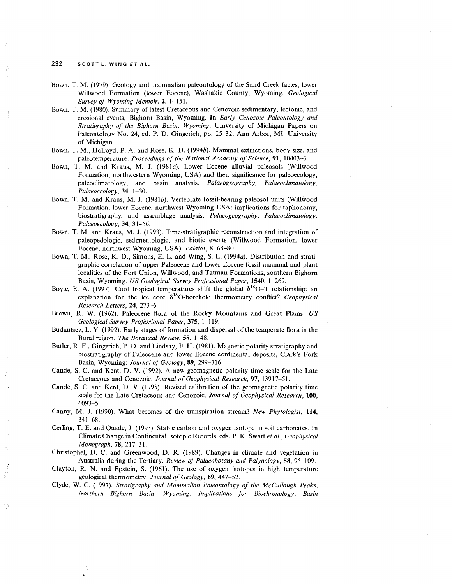- Bown, T. M. (1979). Geology and mammalian paleontology of the Sand Creek facies, lower Willwood Formation (lower Eocene), Washakie County, Wyoming. *Geological Survey of Wyoming Memoir,* 2, 1—151.
- Bown, T. M. (1980). Summary of latest Cretaceous and Cenozoic sedimentary, tectonic, and erosional events, Bighorn Basin, Wyoming. In *Early Cenozoic Paleontology and Stratigraphy of the Bighorn Basin, Wyoming,* University of Michigan Papers on Paleontology No. 24, ed. P. D. Gingerich, pp. 25-32. Ann Arbor, MI: University of Michigan.
- Bown, T. M., Holroyd, P. A. and Rose, K. D. (19946). Mammal extinctions, body size, and paleotemperature. *Proceedings of the National Academy of Science,* 91, 10403-6.
- Bown, T. M. and Kraus, M. J. (1981a). Lower Eocene alluvial paleosols (Willwood Formation, northwestern Wyoming, USA) and their significance for paleoecology, paleoclimatology, and basin analysis. *Palaeogeography, Palaeoclimatology, Palaeoecology,* 34, 1-30.
- Bown, T. M. and Kraus, M. J. (19816). Vertebrate fossil-bearing paleosol units (Willwood Formation, lower Eocene, northwest Wyoming USA: implications for taphonomy, biostratigraphy, and assemblage analysis. *Palaeogeography, Palaeoclimatology, Palaeoecology,* 34, 31-56.
- Bown, T. M. and Kraus, M. J. (1993). Time-stratigraphic reconstruction and integration of paleopedologic, sedimentologic, and biotic events (Willwood Formation, lower Eocene, northwest Wyoming, USA). *Palaios,* 8, 68-80.
- Bown, T. M., Rose, K. D., Simons, E. L. and Wing, S. L. (1994a). Distribution and stratigraphic correlation of upper Paleocene and lower Eocene fossil mammal and plant localities of the Fort Union, Willwood, and Tatman Formations, southern Bighorn Basin, Wyoming. *US Geological Survey Professional Paper,* 1540, 1-269.
- Boyle, E. A. (1997). Cool tropical temperatures shift the global  $\delta^{18}O-T$  relationship: an explanation for the ice core 8 <sup>18</sup>0-borehole thermometry conflict? *Geophysical Research Letters,* 24, 273-6.
- Brown, R. W. (1962). Paleocene flora of the Rocky Mountains and Great Plains. *US Geological Survey Professional Paper,* 375, 1-119.
- Budantsev, L. Y. (1992). Early stages of formation and dispersal of the temperate flora in the Boral reigon. *The Botanical Review,* 58, 1^48.
- Butler, R. F., Gingerich, P. D. and Lindsay, E. H. (1981). Magnetic polarity stratigraphy and biostratigraphy of Paleocene and lower Eocene continental deposits, Clark's Fork Basin, Wyoming: *Journal of Geology,* 89, 299-316.
- Cande, S. C. and Kent, D. V. (1992). A new geomagnetic polarity time scale for the Late Cretaceous and Cenozoic. *Journal of Geophysical Research,* 97, 13917-51.
- Cande, S. C. and Kent, D. V. (1995). Revised calibration of the geomagnetic polarity time scale for the Late Cretaceous and Cenozoic. *Journal of Geophysical Research,* 100, 6093-5.
- Canny, M. J. (1990). What becomes of the transpiration stream? *New Phytologist,* 114, 341-68.
- Cerling, T. E. and Quade, J. (1993). Stable carbon and oxygen isotope in soil carbonates. In Climate Change in Continental Isotopic Records, eds. P. K. Swart *et al., Geophysical Monograph,* 78, 217-31.
- Christophel, D. C. and Greenwood, D. R. (1989). Changes in climate and vegetation in Australia during the Tertiary. *Review of Palaeobotany and Palynology,* 58, 95-109.
- Clayton, R. N. and Epstein, S. (1961). The use of oxygen isotopes in high temperature geological thermometry. *Journal of Geology,* 69, 447-52.
- Clyde, W. C. (1997). *Stratigraphy and Mammalian Paleontology of the McCullough Peaks, Northern Bighorn Basin, Wyoming: Implications for Biochronology, Basin*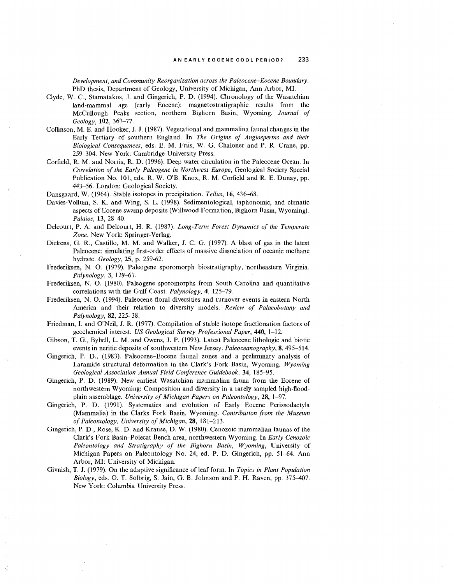*Development, and Community Reorganization across the Paleocene-Eocene Boundary.* PhD thesis, Department of Geology, University of Michigan, Ann Arbor, MI.

- Clyde, W. C, Stamatakos, J. and Gingerich, P. D. (1994). Chronology of the Wasatchian land-mammal age (early Eocene): magnetostratigraphic results from the McCullough Peaks section, northern Bighorn Basin, Wyoming. *Journal of Geology,* 102, 367-77.
- Collinson, M. E. and Hooker, J. J. (1987). Vegetational and mammalina faunal changes in the Early Tertiary of southern England. In *The Origins of Angiosperms and their Biological Consequences,* eds. E. M. Friis, W. G. Chaloner and P. R. Crane, pp. 259-304. New York: Cambridge University Press.
- Corfield, R. M. and Norris, R. D. (1996). Deep water circulation in the Paleocene Ocean. In *Correlation of the Early Paleogene in Northwest Europe,* Geological Society Special Publication No. 101, eds. R. W. O'B. Knox, R. M. Corfield and R. E. Dunay, pp. 443-56. London: Geological Society.

Dansgaard, W. (1964). Stable isotopes in precipitation. *Tellus,* 16, 436-68.

- Davies-Vollum, S. K. and Wing, S. L. (1998). Sedimentological, taphonomic, and climatic aspects of Eocene swamp deposits (Willwood Formation, Bighorn Basin, Wyoming). *Palaios,* 13, 28-40.
- Delcourt, P. A. and Delcourt, H. R. (1987). *Long-Term Forest Dynamics of the Temperate Zone.* New York: Springer-Verlag.
- Dickens, G. R., Castillo, M. M. and Walker, J. C. G. (1997). A blast of gas in the latest Paleocene: simulating first-order effects of massive dissociation of oceanic methane hydrate. *Geology,* 25, p. 259-62.
- Frederiksen, N. O. (1979). Paleogene sporomorph biostratigraphy, northeastern Virginia. *Palynology,* 3, 129-67.
- Frederiksen, N. O. (1980). Paleogene sporomorphs from South Carolina and quantitative correlations with the Gulf Coast. *Palynology,* 4, 125-79.
- Frederiksen, N. O. (1994). Paleocene floral diversities and turnover events in eastern North America and their relation to diversity models. *Review of Palaeobotany and Palynology,* 82, 225-38.
- Friedman, I. and O'Neil, J. R. (1977). Compilation of stable isotope fractionation factors of geochemical interest. *US Geological Survey Professional Paper,* 440, 1-12.
- Gibson, T. G., Bybell, L. M. and Owens, J. P. (1993). Latest Paleocene lithologic and biotic events in neritic deposits of southwestern New Jersey. *Paleoceanography,* 8, 495-514.
- Gingerich, P. D., (1983). Paleocene-Eocene faunal zones and a preliminary analysis of Laramide structural deformation in the Clark's Fork Basin, Wyoming. *Wyoming Geological Association Annual Field Conference Guidebook.* 34, 185-95.
- Gingerich, P. D. (1989). New earliest Wasatchian mammalian fauna from the Eocene of northwestern Wyoming: Composition and diversity in a rarely sampled high-floodplain assemblage. *University of Michigan Papers on Paleontology,* 28, 1-97.
- Gingerich, P. D. (1991). Systematics and evolution of Early Eocene Perissodactyla (Mammalia) in the Clarks Fork Basin, Wyoming. *Contribution from the Museum of Paleontology, University of Michigan,* 28, 181-213.
- Gingerich, P. D., Rose, K. D. and Krause, D. W. (1980). Cenozoic mammalian faunas of the Clark's Fork Basin-Polecat Bench area, northwestern Wyoming. In *Early Cenozoic Paleontology and Stratigraphy of the Bighorn Basin, Wyoming,* University of Michigan Papers on Paleontology No. 24, ed. P. D. Gingerich, pp. 51-64. Ann Arbor, MI: University of Michigan.
- Givnish, T. J. (1979). On the adaptive significance of leaf form. In *Topics in Plant Population Biology,* eds. O. T. Solbrig, S. Jain, G. B. Johnson and P. H. Raven, pp. 375-407. New York: Columbia University Press.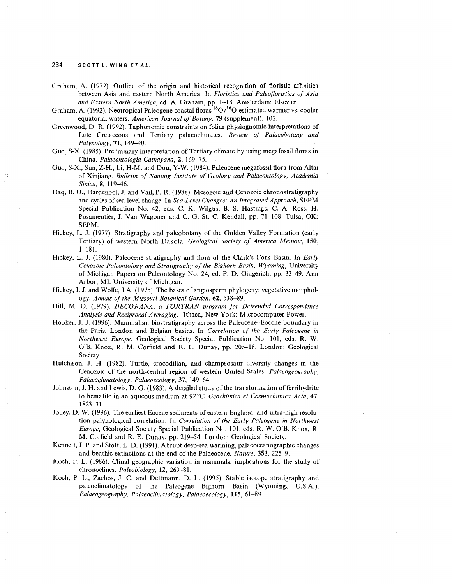- Graham, A. (1972). Outline of the origin and historical recognition of floristic affinities between Asia and eastern North America. In *Floristics and Paleofloristics of Asia and Eastern North America,* ed. A. Graham, pp. 1-18. Amsterdam: Elsevier.
- Graham, A. (1992). Neotropical Paleogene coastal floras  ${}^{18}O/{}^{16}O$ -estimated warmer vs. cooler equatorial waters. *American Journal of Botany,* 79 (supplement), 102.
- Greenwood, D. R. (1992). Taphonomic constraints on foliar physiognomic interpretations of Late Cretaceous and Tertiary palaeoclimates. *Review of Palaeobotany and Palynology,* 71, 149-90.
- Guo, S-X. (1985). Preliminary interpretation of Tertiary climate by using megafossil floras in China. *Palaeontologia Cathayana, 2,* 169-75.
- Guo, S-X., Sun, Z-H., Li, H-M. and Dou, Y-W. (1984). Paleocene megafossil flora from Altai of Xinjiang. *Bulletin of Nanjing Institute of Geology and Palaeontology, Academia Sinica,* 8, 119-46.
- Haq, B. U., Hardenbol, J. and Vail, P. R. (1988). Mesozoic and Cenozoic chronostratigraphy and cycles of sea-level change. In *Sea-Level Changes: An Integrated Approach,* SEPM Special Publication No. 42, eds. C. K. Wilgus, B. S. Hastings, C. A. Ross, H. Posamentier, J. Van Wagoner and C. G. St. C. Kendall, pp. 71-108. Tulsa, OK: SEPM.
- Hickey, L. J. (1977). Stratigraphy and paleobotany of the Golden Valley Formation (early Tertiary) of western North Dakota. *Geological Society of America Memoir,* 150, 1-181.
- Hickey, L. J. (1980). Paleocene stratigraphy and flora of the Clark's Fork Basin. In *Early Cenozoic Paleontology and Stratigraphy of the Bighorn Basin, Wyoming,* University of Michigan Papers on Paleontology No. 24, ed. P. D. Gingerich, pp. 33-49. Ann Arbor, MI: University of Michigan.
- Hickey, L.J. and Wolfe, J.A. (1975). The bases of angiosperm phytogeny: vegetative morphology. *Annals of the Missouri Botanical Garden,* 62, 538-89.
- Hill, M. O. (1979). *DECORANA, a FORTRAN program for Detrended Correspondence Analysis and Reciprocal Averaging.* Ithaca, New York: Microcomputer Power.
- Hooker, J. J. (1996). Mammalian biostratigraphy across the Paleocene-Eocene boundary in the Paris, London and Belgian basins. In *Correlation of the Early Paleogene in Northwest Europe,* Geological Society Special Publication No. 101, eds. R. W. OB. Knox, R. M. Corfield and R. E. Dunay, pp. 205-18. London: Geological Society.
- Hutchison, J. H. (1982). Turtle, crocodilian, and champsosaur diversity changes in the Cenozoic of the north-central region of western United States. *Palaeogeography, Palaeoclimatology, Palaeoecology,* 37, 149-64.
- Johnston, J. H. and Lewis, D. G. (1983). A detailed study of the transformation of ferrihydrite to hematite in an aqueous medium at 92 °C. *Geochimica et Cosmochimica Acta,* 47, 1823-31.
- Jolley, D. W. (1996). The earliest Eocene sediments of eastern England: and ultra-high resolution palynological correlation. In *Correlation of the Early Paleogene in Northwest Europe,* Geological Society Special Publication No. 101, eds. R. W. O'B. Knox, R. M. Corfield and R. E. Dunay, pp. 219-54. London: Geological Society.
- Kennett, J. P. and Stott, L. D. (1991). Abrupt deep-sea warming, palaeoceanographic changes and benthic extinctions at the end of the Palaeocene. *Nature,* 353, 225-9.
- Koch, P. L. (1986). Clinal geographic variation in mammals: implications for the study of chronoclines. *Paleobiology,* 12, 269-81.
- Koch, P. L., Zachos, J. C. and Dettmann, D. L. (1995). Stable isotope stratigraphy and paleoclimatology of the Paleogene Bighorn Basin (Wyoming, U.S.A.). *Palaeogeography, Palaeoclimatology, Palaeoecology,* 115, 61-89.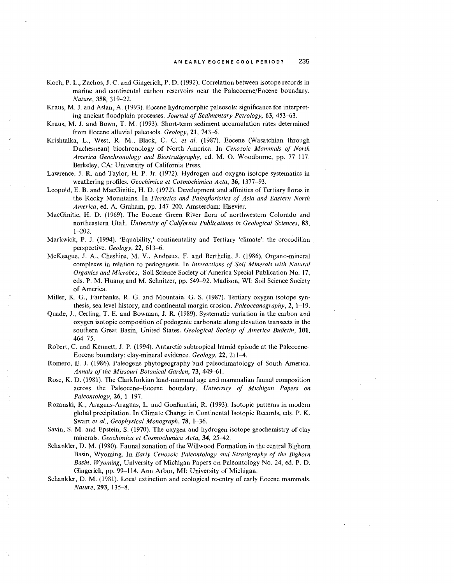- Koch, P. L., Zachos, J. C. and Gingerich, P. D. (1992). Correlation between isotope records in marine and continental carbon reservoirs near the Palaeocene/Eocene boundary. *Nature,* 358, 319-22.
- Kraus, M. J. and Asian, A. (1993). Eocene hydromorphic paleosols: significance for interpreting ancient floodplain processes. *Journal of Sedimentary Petrology,* 63, 453-63.
- Kraus, M. J. and Bown, T. M. (1993). Short-term sediment accumulation rates determined from Eocene alluvial paleosols. *Geology,* 21, 743-6.
- Krishtalka, L., West, R. M., Black, C. C. *et al.* (1987). Eocene (Wasatchian through Duchesnean) biochronology of North America. In *Cenozoic Mammals of North America Geochronology and Biostratigraphy,* ed. M. O. Woodburne, pp. 77-117. Berkeley, CA: University of California Press.
- Lawrence, J. R. and Taylor, H. P. Jr. (1972). Hydrogen and oxygen isotope systematics in weathering profiles. *Geochimica et Cosmochimica Acta,* 36, 1377-93.
- Leopold, E. B. and MacGinitie, H. D. (1972). Development and affinities of Tertiary floras in the Rocky Mountains. In *Floristics and Paleofloristics of Asia and Eastern North America,* ed. A. Graham, pp. 147-200. Amsterdam: Elsevier.
- MacGinitie, H. D. (1969). The Eocene Green River flora of northwestern Colorado and northeastern Utah. *University of California Publications in Geological Sciences,* 83, 1-202.
- Markwick, P. J. (1994). 'Equability,' continentality and Tertiary 'climate': the crocodilian perspective. *Geology,* 22, 613-6.
- McKeague, J. A., Cheshire, M. V., Andreux, F. and Berthelin, J. (1986). Organo-mineral complexes in relation to pedogenesis. In *Interactions of Soil Minerals with Natural Organics and Microbes,* Soil Science Society of America Special Publication No. 17, eds. P. M. Huang and M. Schnitzer, pp. 549-92. Madison, WI: Soil Science Society of America.
- Miller, K. G., Fairbanks, R. G. and Mountain, G. S. (1987). Tertiary oxygen isotope synthesis, sea level history, and continental margin erosion. *Paleoceanography,* 2, 1-19.
- Quade, J., Cerling, T. E. and Bowman, J. R. (1989). Systematic variation in the carbon and oxygen isotopic composition of pedogenic carbonate along elevation transects in the southern Great Basin, United States. *Geological Society of America Bulletin,* 101, 464-75.
- Robert, C. and Kennett, J. P. (1994). Antarctic subtropical humid episode at the Paleocene-Eocene boundary: clay-mineral evidence. *Geology,* 22, 211-4.
- Romero, E. J. (1986). Paleogene phytogeography and paleoclimatology of South America. *Annals of the Missouri Botanical Garden,* 73, 449-61.
- Rose, K. D. (1981). The Clarkforkian land-mammal age and mammalian faunal composition across the Paleocene-Eocene boundary. *University of Michigan Papers on Paleontology,* 26, 1-197.
- Rozanski, K., Araguas-Araguas, L. and Gonfiantini, R. (1993). Isotopic patterns in modern global precipitation. In Climate Change in Continental Isotopic Records, eds. P. K. Swart *el al., Geophysical Monograph,* 78, 1—36.
- Savin, S. M. and Epstein, S. (1970). The oxygen and hydrogen isotope geochemistry of clay minerals. *Geochimica et Cosmochimica Acta,* 34, 25-42.
- Schankler, D. M. (1980). Faunal zonation of the Willwood Formation in the central Bighorn Basin, Wyoming. In *Early Cenozoic Paleontology and Stratigraphy of the Bighorn Basin, Wyoming,* University of Michigan Papers on Paleontology No. 24, ed. P. D. Gingerich, pp. 99-114. Ann Arbor, MI: University of Michigan.
- Schankler, D. M. (1981). Local extinction and ecological re-entry of early Eocene mammals. *Nature,* 293, 135-8.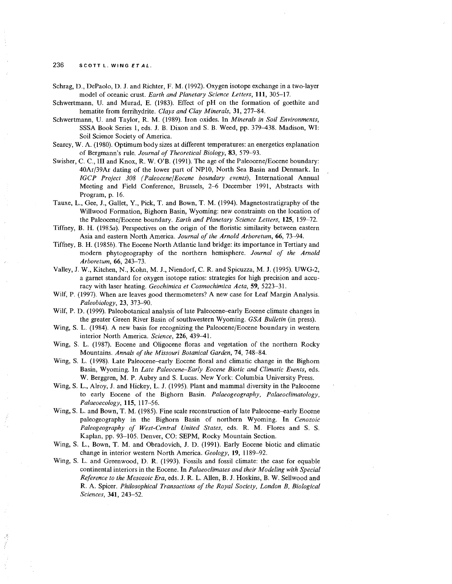- Schrag, D., DePaolo, D. J. and Richter, F. M. (1992). Oxygen isotope exchange in a two-layer model of oceanic crust. *Earth and Planetary Science Letters,* 111, 305-17.
- Schwertmann, U. and Murad, E. (1983). Effect of pH on the formation of goethite and hematite from ferrihydrite. *Clays and Clay Minerals,* 31, 277-84.
- Schwertmann, U. and Taylor, R. M. (1989). Iron oxides. In *Minerals in Soil Environments,* SSSA Book Series 1, eds. J. B. Dixon and S. B. Weed, pp. 379-438. Madison, WI: Soil Science Society of America.
- Searcy, W. A. (1980). Optimum body sizes at different temperatures: an energetics explanation of Bergmann's rule. *Journal of Theoretical Biology,* 83, 579-93.
- Swisher, C. C, III and Knox, R. W. O'B. (1991). The age of the Paleocene/Eocene boundary: 40Ar/39Ar dating of the lower part of NP10, North Sea Basin and Denmark. In *IGCP Project 308 (Paleocene/Eocene boundary events),* International Annual Meeting and Field Conference, Brussels, 2-6 December 1991, Abstracts with Program, p. 16.
- Tauxe, L., Gee, J., Gallet, Y., Pick, T. and Bown, T. M. (1994). Magnetostratigraphy of the Willwood Formation, Bighorn Basin, Wyoming: new constraints on the location of the Paleocene/Eocene boundary. *Earth and Planetary Science Letters,* 125, 159-72.
- Tiffney, B. H. (1985a). Perspectives on the origin of the floristic similarity between eastern Asia and eastern North America. *Journal of the Arnold Arboretum,* 66, 73-94.
- Tiffney, B. H. (19856). The Eocene North Atlantic land bridge: its importance in Tertiary and modern phytogeography of the northern hemisphere. *Journal of the Arnold Arboretum,* 66, 243-73.
- Valley, J. W., Kitchen, N., Kohn, M. J., Niendorf, C. R. and Spicuzza, M. J. (1995). UWG-2, a garnet standard for oxygen isotope ratios: strategies for high precision and accuracy with laser heating. *Geochimica et Cosmochimica Acta*, 59, 5223-31.
- Wilf, P. (1997). When are leaves good thermometers? A new case for Leaf Margin Analysis. *Paleobiology,* 23, 373-90.
- Wilf, P. D. (1999). Paleobotanical analysis of late Paleocene-early Eocene climate changes in the greater Green River Basin of southwestern Wyoming. *GSA Bulletin* (in press).
- Wing, S. L. (1984). A new basis for recognizing the Paleocene/Eocene boundary in western interior North America. *Science,* 226, 439-41.
- Wing, S. L. (1987). Eocene and Oligocene floras and vegetation of the northern Rocky Mountains. *Annals of the Missouri Botanical Garden,* 74, 748-84.
- Wing, S. L. (1998). Late Paleocene-early Eocene floral and climatic change in the Bighorn Basin, Wyoming. In *Late Paleocene-Early Eocene Biotic and Climatic Events,* eds. W. Berggren, M. P. Aubry and S. Lucas. New York: Columbia University Press.
- Wing, S. L., Alroy, J. and Hickey, L. J. (1995). Plant and mammal diversity in the Paleocene to early Eocene of the Bighorn Basin. *Palaeogeography, Palaeoclimatology, Palaeoecology,* 115, 117-56.
- Wing, S. L. and Bown, T. M. (1985). Fine scale reconstruction of late Paleocene-early Eocene paleogeography in the Bighorn Basin of northern Wyoming. In *Cenozoic Paleogeography of West-Central United States,* eds. R. M. Flores and S. S. Kaplan, pp. 93-105. Denver, CO: SEPM, Rocky Mountain Section.
- Wing, S. L., Bown, T. M. and Obradovich, J. D. (1991). Early Eocene biotic and climatic change in interior western North America. *Geology,* 19, 1189-92.
- Wing, S. L. and Greenwood, D. R. (1993). Fossils and fossil climate: the case for equable continental interiors in the Eocene. In *Palaeoclimates and their Modeling with Special Reference to the Mesozoic Era,* eds. J. R. L. Allen, B. J. Hoskins, B. W. Sellwood and R. A. Spicer. *Philosophical Transactions of the Royal Society, London B, Biological Sciences,* 341, 243-52.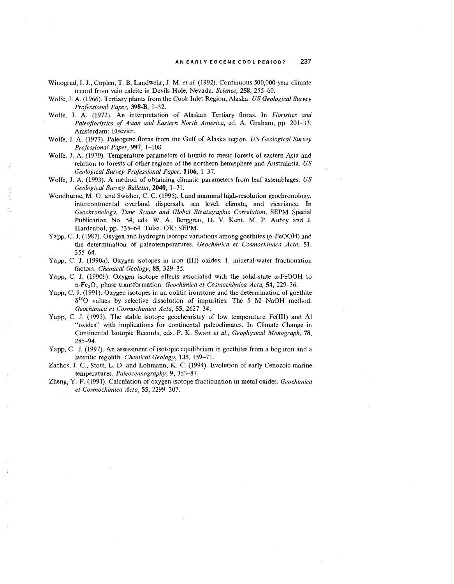- Winograd, I. J., Coplen, T. B, Landwehr, J. M. *et al.* (1992). Continuous 500,000-year climate record from vein calcite in Devils Hole, Nevada. *Science,* 258, 255-60.
- Wolfe, J. A. (1966). Tertiary plants from the Cook Inlet Region, Alaska. *US Geological Survey Professional Paper,* 398-B, 1-32.
- Wolfe, J. A. (1972). An interpretation of Alaskan Tertiary floras. In *Floristics and Paleofloristics of Asian and Eastern North America,* ed. A. Graham, pp. 201-33. Amsterdam: Elsevier.
- Wolfe, J. A. (1977). Paleogene floras from the Gulf of Alaska region. *US Geological Survey Professional Paper,* 997, 1-108.
- Wolfe, J. A. (1979). Temperature parameters of humid to mesic forests of eastern Asia and relation to forests of other regions of the northern hemisphere and Australasia. *US Geological Survey Professional Paper,* 1106, 1-37.
- Wolfe, J. A. (1993). A method of obtaining climatic parameters from leaf assemblages. *US Geological Survey Bulletin,* 2040, 1-71.
- Woodburne, M. O. and Swisher, C. C. (1995). Land mammal high-resolution geochronology, intercontinental overland dispersals, sea level, climate, and vicariance. In *Geochronology, Time Scales and Global Stratigraphic Correlation,* SEPM Special Publication No. 54, eds. W. A. Berggren, D. V. Kent, M. P. Aubry and J. Hardenbol, pp. 335-64. Tulsa, OK: SEPM.
- Yapp, C. J. (1987). Oxygen and hydrogen isotope variations among goethites ( $\alpha$ -FeOOH) and the determination of paleotemperatures. *Geochimica et Cosmochimica Ada,* 51, 355-64.
- Yapp, C. J. (1990a). Oxygen isotopes in iron (III) oxides: 1, mineral-water fractionation factors. *Chemical Geology,* 85, 329-35.
- Yapp, C. J. (1990b). Oxygen isotope effects associated with the solid-state  $\alpha$ -FeOOH to a-Fe20<sup>3</sup> phase transformation. *Geochimica et Cosmochimica Ada,* 54, 229-36.
- Yapp, C. J. (1991). Oxygen isotopes in an oolitic ironstone and the determination of goethite  $\delta^{18}$ O values by selective dissolution of impurities: The 5 M NaOH method. *Geochimica et Cosmochimica Acta*, 55, 2627-34.
- Yapp, C. J. (1993). The stable isotope geochemistry of low temperature Fe(III) and Al "oxides" with implications for continental paleoclimates. In Climate Change in Continental Isotopic Records, eds. P. K. Swart *et al., Geophysical Monograph,* 78, 285-94.
- Yapp, C. J. (1997). An assessment of isotopic equilibrium in goethites from a bog iron and a lateritic regolith. *Chemical Geology,* 135, 159-71.
- Zachos, J. C, Stott, L. D. and Lohmann, K. C. (1994). Evolution of early Cenozoic marine temperatures. *Paleoceanography,* 9, 353-87.
- Zheng, Y.-F. (1991). Calculation of oxygen isotope fractionation in metal oxides. *Geochimica et Cosmochimica Ada,* 55, 2299-307.